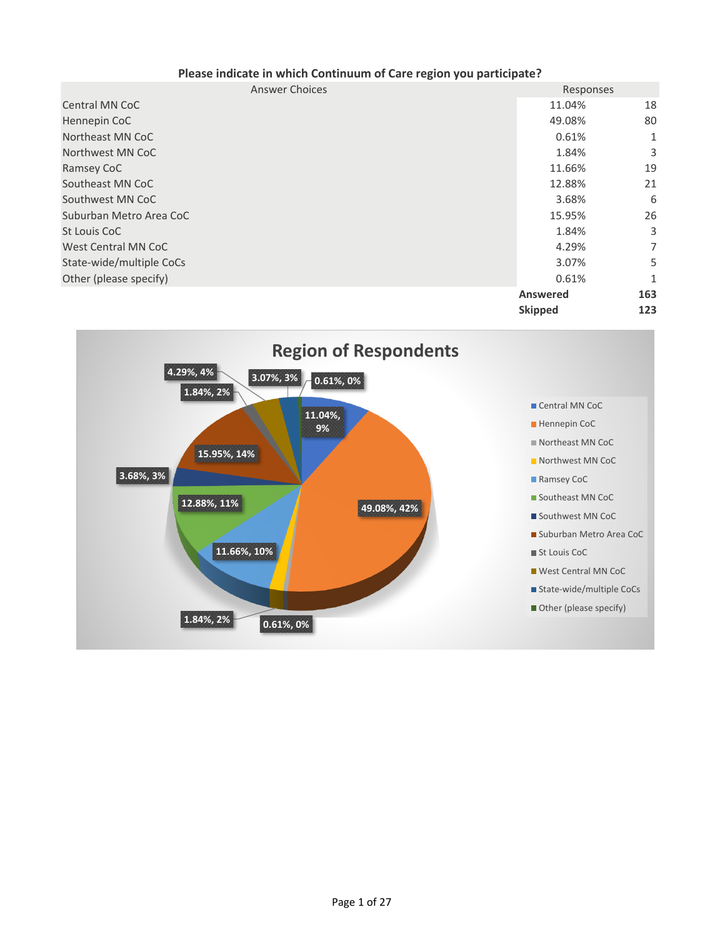| <b>Answer Choices</b>    | Responses       |              |
|--------------------------|-----------------|--------------|
| <b>Central MN CoC</b>    | 11.04%          | 18           |
| Hennepin CoC             | 49.08%          | 80           |
| Northeast MN CoC         | 0.61%           | 1            |
| Northwest MN CoC         | 1.84%           | 3            |
| Ramsey CoC               | 11.66%          | 19           |
| Southeast MN CoC         | 12.88%          | 21           |
| Southwest MN CoC         | 3.68%           | 6            |
| Suburban Metro Area CoC  | 15.95%          | 26           |
| St Louis CoC             | 1.84%           | 3            |
| West Central MN CoC      | 4.29%           | 7            |
| State-wide/multiple CoCs | 3.07%           | 5            |
| Other (please specify)   | 0.61%           | $\mathbf{1}$ |
|                          | <b>Answered</b> | 163          |
|                          | <b>Skipped</b>  | 123          |

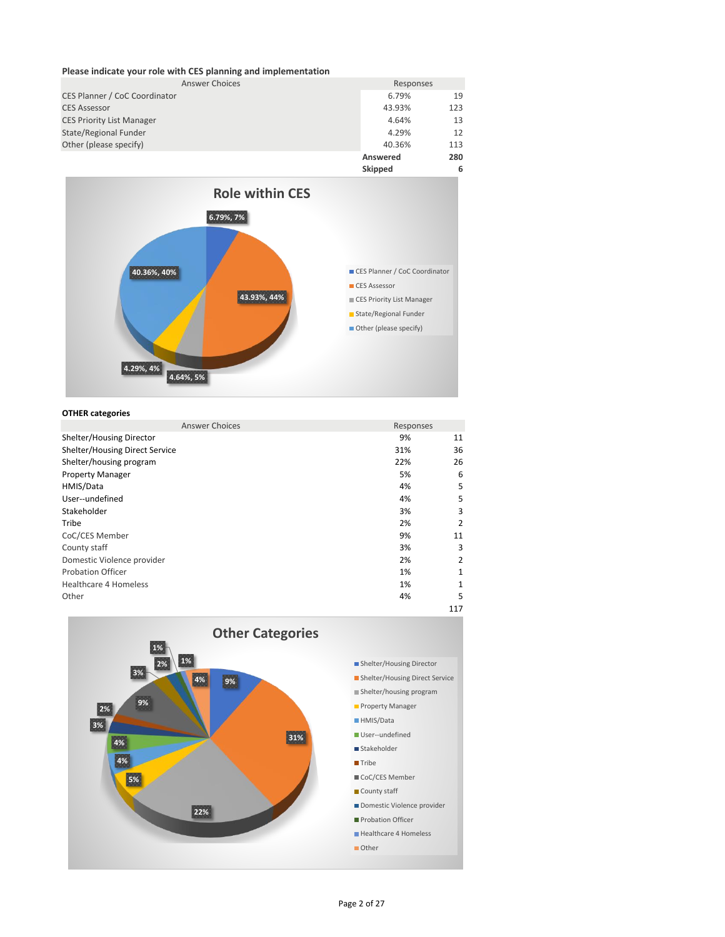## **Please indicate your role with CES planning and implementation**

| <b>Answer Choices</b>            | Responses |     |
|----------------------------------|-----------|-----|
| CES Planner / CoC Coordinator    | 6.79%     | 19  |
| <b>CES Assessor</b>              | 43.93%    | 123 |
| <b>CES Priority List Manager</b> | 4.64%     | 13  |
| State/Regional Funder            | 4.29%     | 12  |
| Other (please specify)           | 40.36%    | 113 |
|                                  | Answered  | 280 |



## **OTHER categories**

| <b>Answer Choices</b>          | Responses |     |
|--------------------------------|-----------|-----|
| Shelter/Housing Director       | 9%        | 11  |
| Shelter/Housing Direct Service | 31%       | 36  |
| Shelter/housing program        | 22%       | 26  |
| <b>Property Manager</b>        | 5%        | 6   |
| HMIS/Data                      | 4%        | 5   |
| User--undefined                | 4%        | 5   |
| Stakeholder                    | 3%        | 3   |
| Tribe                          | 2%        | 2   |
| CoC/CES Member                 | 9%        | 11  |
| County staff                   | 3%        | 3   |
| Domestic Violence provider     | 2%        | 2   |
| <b>Probation Officer</b>       | 1%        | 1   |
| <b>Healthcare 4 Homeless</b>   | 1%        | 1   |
| Other                          | 4%        | 5   |
|                                |           | 117 |



Page 2 of 27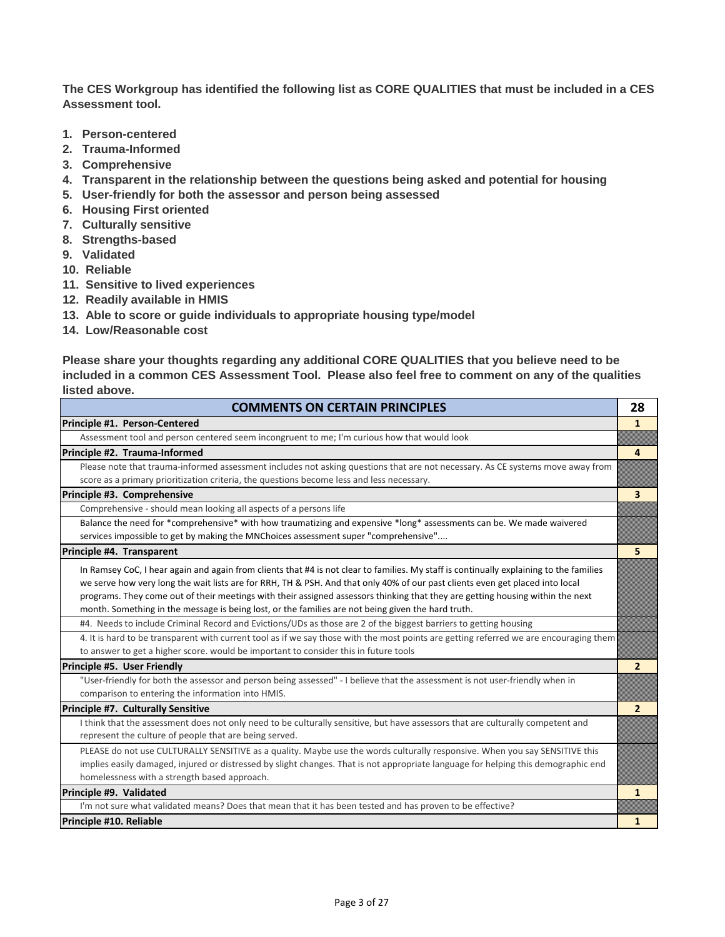**The CES Workgroup has identified the following list as CORE QUALITIES that must be included in a CES Assessment tool.** 

- **1. Person-centered**
- **2. Trauma-Informed**
- **3. Comprehensive**
- **4. Transparent in the relationship between the questions being asked and potential for housing**
- **5. User-friendly for both the assessor and person being assessed**
- **6. Housing First oriented**
- **7. Culturally sensitive**
- **8. Strengths-based**
- **9. Validated**
- **10. Reliable**
- **11. Sensitive to lived experiences**
- **12. Readily available in HMIS**
- **13. Able to score or guide individuals to appropriate housing type/model**
- **14. Low/Reasonable cost**

**Please share your thoughts regarding any additional CORE QUALITIES that you believe need to be included in a common CES Assessment Tool. Please also feel free to comment on any of the qualities listed above.**

| <b>COMMENTS ON CERTAIN PRINCIPLES</b>                                                                                                   | 28               |
|-----------------------------------------------------------------------------------------------------------------------------------------|------------------|
| Principle #1. Person-Centered                                                                                                           | $\mathbf{1}$     |
| Assessment tool and person centered seem incongruent to me; I'm curious how that would look                                             |                  |
| Principle #2. Trauma-Informed                                                                                                           | $\boldsymbol{A}$ |
| Please note that trauma-informed assessment includes not asking questions that are not necessary. As CE systems move away from          |                  |
| score as a primary prioritization criteria, the questions become less and less necessary.                                               |                  |
| Principle #3. Comprehensive                                                                                                             | 3                |
| Comprehensive - should mean looking all aspects of a persons life                                                                       |                  |
| Balance the need for *comprehensive* with how traumatizing and expensive *long* assessments can be. We made waivered                    |                  |
| services impossible to get by making the MNChoices assessment super "comprehensive"                                                     |                  |
| Principle #4. Transparent                                                                                                               | 5                |
| In Ramsey CoC, I hear again and again from clients that #4 is not clear to families. My staff is continually explaining to the families |                  |
| we serve how very long the wait lists are for RRH, TH & PSH. And that only 40% of our past clients even get placed into local           |                  |
| programs. They come out of their meetings with their assigned assessors thinking that they are getting housing within the next          |                  |
| month. Something in the message is being lost, or the families are not being given the hard truth.                                      |                  |
| #4. Needs to include Criminal Record and Evictions/UDs as those are 2 of the biggest barriers to getting housing                        |                  |
| 4. It is hard to be transparent with current tool as if we say those with the most points are getting referred we are encouraging them  |                  |
| to answer to get a higher score. would be important to consider this in future tools                                                    |                  |
| Principle #5. User Friendly                                                                                                             | $\mathbf{2}$     |
| "User-friendly for both the assessor and person being assessed" - I believe that the assessment is not user-friendly when in            |                  |
| comparison to entering the information into HMIS.                                                                                       |                  |
| Principle #7. Culturally Sensitive                                                                                                      | $\overline{2}$   |
| I think that the assessment does not only need to be culturally sensitive, but have assessors that are culturally competent and         |                  |
| represent the culture of people that are being served.                                                                                  |                  |
| PLEASE do not use CULTURALLY SENSITIVE as a quality. Maybe use the words culturally responsive. When you say SENSITIVE this             |                  |
| implies easily damaged, injured or distressed by slight changes. That is not appropriate language for helping this demographic end      |                  |
| homelessness with a strength based approach.                                                                                            |                  |
| Principle #9. Validated                                                                                                                 | $\mathbf{1}$     |
| I'm not sure what validated means? Does that mean that it has been tested and has proven to be effective?                               |                  |
| Principle #10. Reliable                                                                                                                 | $\mathbf{1}$     |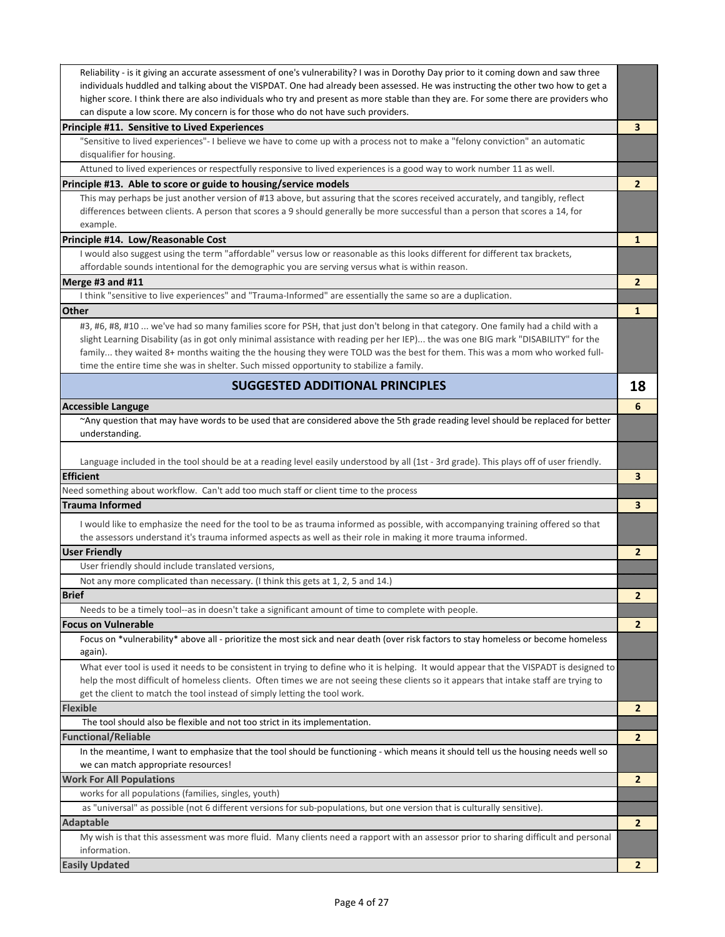| Reliability - is it giving an accurate assessment of one's vulnerability? I was in Dorothy Day prior to it coming down and saw three<br>individuals huddled and talking about the VISPDAT. One had already been assessed. He was instructing the other two how to get a<br>higher score. I think there are also individuals who try and present as more stable than they are. For some there are providers who |                |
|----------------------------------------------------------------------------------------------------------------------------------------------------------------------------------------------------------------------------------------------------------------------------------------------------------------------------------------------------------------------------------------------------------------|----------------|
| can dispute a low score. My concern is for those who do not have such providers.                                                                                                                                                                                                                                                                                                                               |                |
| Principle #11. Sensitive to Lived Experiences                                                                                                                                                                                                                                                                                                                                                                  | 3              |
| "Sensitive to lived experiences"- I believe we have to come up with a process not to make a "felony conviction" an automatic<br>disqualifier for housing.                                                                                                                                                                                                                                                      |                |
| Attuned to lived experiences or respectfully responsive to lived experiences is a good way to work number 11 as well.                                                                                                                                                                                                                                                                                          |                |
| Principle #13. Able to score or guide to housing/service models                                                                                                                                                                                                                                                                                                                                                | $\mathbf{2}$   |
| This may perhaps be just another version of #13 above, but assuring that the scores received accurately, and tangibly, reflect                                                                                                                                                                                                                                                                                 |                |
| differences between clients. A person that scores a 9 should generally be more successful than a person that scores a 14, for                                                                                                                                                                                                                                                                                  |                |
| example.                                                                                                                                                                                                                                                                                                                                                                                                       |                |
| Principle #14. Low/Reasonable Cost                                                                                                                                                                                                                                                                                                                                                                             | $\mathbf{1}$   |
| I would also suggest using the term "affordable" versus low or reasonable as this looks different for different tax brackets,                                                                                                                                                                                                                                                                                  |                |
| affordable sounds intentional for the demographic you are serving versus what is within reason.                                                                                                                                                                                                                                                                                                                |                |
| Merge #3 and #11                                                                                                                                                                                                                                                                                                                                                                                               | $\overline{2}$ |
| I think "sensitive to live experiences" and "Trauma-Informed" are essentially the same so are a duplication.                                                                                                                                                                                                                                                                                                   |                |
| <b>Other</b>                                                                                                                                                                                                                                                                                                                                                                                                   | $\mathbf{1}$   |
| #3, #6, #8, #10  we've had so many families score for PSH, that just don't belong in that category. One family had a child with a                                                                                                                                                                                                                                                                              |                |
| slight Learning Disability (as in got only minimal assistance with reading per her IEP) the was one BIG mark "DISABILITY" for the                                                                                                                                                                                                                                                                              |                |
| family they waited 8+ months waiting the the housing they were TOLD was the best for them. This was a mom who worked full-                                                                                                                                                                                                                                                                                     |                |
| time the entire time she was in shelter. Such missed opportunity to stabilize a family.                                                                                                                                                                                                                                                                                                                        |                |
| <b>SUGGESTED ADDITIONAL PRINCIPLES</b>                                                                                                                                                                                                                                                                                                                                                                         | 18             |
|                                                                                                                                                                                                                                                                                                                                                                                                                |                |
| <b>Accessible Languge</b>                                                                                                                                                                                                                                                                                                                                                                                      | 6              |
| ~Any question that may have words to be used that are considered above the 5th grade reading level should be replaced for better                                                                                                                                                                                                                                                                               |                |
| understanding.                                                                                                                                                                                                                                                                                                                                                                                                 |                |
|                                                                                                                                                                                                                                                                                                                                                                                                                |                |
| Language included in the tool should be at a reading level easily understood by all (1st - 3rd grade). This plays off of user friendly.                                                                                                                                                                                                                                                                        |                |
|                                                                                                                                                                                                                                                                                                                                                                                                                |                |
| <b>Efficient</b>                                                                                                                                                                                                                                                                                                                                                                                               | 3              |
| Need something about workflow. Can't add too much staff or client time to the process                                                                                                                                                                                                                                                                                                                          |                |
| <b>Trauma Informed</b>                                                                                                                                                                                                                                                                                                                                                                                         | 3              |
| I would like to emphasize the need for the tool to be as trauma informed as possible, with accompanying training offered so that                                                                                                                                                                                                                                                                               |                |
| the assessors understand it's trauma informed aspects as well as their role in making it more trauma informed.                                                                                                                                                                                                                                                                                                 |                |
| <b>User Friendly</b>                                                                                                                                                                                                                                                                                                                                                                                           | $\overline{2}$ |
| User friendly should include translated versions,                                                                                                                                                                                                                                                                                                                                                              |                |
| Not any more complicated than necessary. (I think this gets at 1, 2, 5 and 14.)                                                                                                                                                                                                                                                                                                                                |                |
| <b>Brief</b>                                                                                                                                                                                                                                                                                                                                                                                                   | Ž              |
| Needs to be a timely tool--as in doesn't take a significant amount of time to complete with people.                                                                                                                                                                                                                                                                                                            |                |
| <b>Focus on Vulnerable</b>                                                                                                                                                                                                                                                                                                                                                                                     | $\mathbf{2}$   |
| Focus on *vulnerability* above all - prioritize the most sick and near death (over risk factors to stay homeless or become homeless                                                                                                                                                                                                                                                                            |                |
| again).                                                                                                                                                                                                                                                                                                                                                                                                        |                |
| What ever tool is used it needs to be consistent in trying to define who it is helping. It would appear that the VISPADT is designed to                                                                                                                                                                                                                                                                        |                |
| help the most difficult of homeless clients. Often times we are not seeing these clients so it appears that intake staff are trying to                                                                                                                                                                                                                                                                         |                |
| get the client to match the tool instead of simply letting the tool work.                                                                                                                                                                                                                                                                                                                                      |                |
| <b>Flexible</b>                                                                                                                                                                                                                                                                                                                                                                                                | $\overline{2}$ |
| The tool should also be flexible and not too strict in its implementation.                                                                                                                                                                                                                                                                                                                                     |                |
| <b>Functional/Reliable</b>                                                                                                                                                                                                                                                                                                                                                                                     | $\mathbf{2}$   |
| In the meantime, I want to emphasize that the tool should be functioning - which means it should tell us the housing needs well so                                                                                                                                                                                                                                                                             |                |
| we can match appropriate resources!                                                                                                                                                                                                                                                                                                                                                                            |                |
| <b>Work For All Populations</b>                                                                                                                                                                                                                                                                                                                                                                                | $\overline{2}$ |
| works for all populations (families, singles, youth)                                                                                                                                                                                                                                                                                                                                                           |                |
| as "universal" as possible (not 6 different versions for sub-populations, but one version that is culturally sensitive).                                                                                                                                                                                                                                                                                       |                |
| <b>Adaptable</b>                                                                                                                                                                                                                                                                                                                                                                                               | $\mathbf{2}$   |
| My wish is that this assessment was more fluid. Many clients need a rapport with an assessor prior to sharing difficult and personal                                                                                                                                                                                                                                                                           |                |
| information.<br><b>Easily Updated</b>                                                                                                                                                                                                                                                                                                                                                                          | 2              |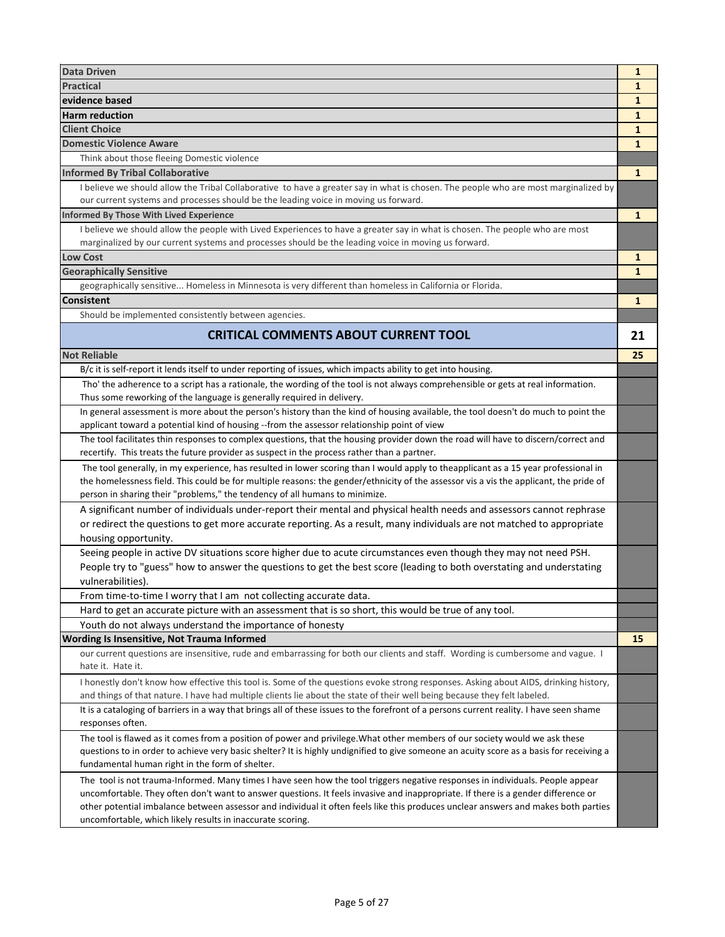| <b>Data Driven</b>                                                                                                                                                                                                                                                      | $\mathbf{1}$ |
|-------------------------------------------------------------------------------------------------------------------------------------------------------------------------------------------------------------------------------------------------------------------------|--------------|
| Practical                                                                                                                                                                                                                                                               | 1            |
| evidence based                                                                                                                                                                                                                                                          | 1            |
| Harm reduction                                                                                                                                                                                                                                                          | 1            |
| Client Choice                                                                                                                                                                                                                                                           | $\mathbf{1}$ |
| <b>Domestic Violence Aware</b>                                                                                                                                                                                                                                          | $\mathbf{1}$ |
| Think about those fleeing Domestic violence                                                                                                                                                                                                                             |              |
| <b>Informed By Tribal Collaborative</b>                                                                                                                                                                                                                                 | $\mathbf{1}$ |
| I believe we should allow the Tribal Collaborative to have a greater say in what is chosen. The people who are most marginalized by                                                                                                                                     |              |
| our current systems and processes should be the leading voice in moving us forward.                                                                                                                                                                                     |              |
| <b>Informed By Those With Lived Experience</b>                                                                                                                                                                                                                          | 1            |
| I believe we should allow the people with Lived Experiences to have a greater say in what is chosen. The people who are most                                                                                                                                            |              |
| marginalized by our current systems and processes should be the leading voice in moving us forward.                                                                                                                                                                     |              |
| <b>Low Cost</b>                                                                                                                                                                                                                                                         | 1            |
| <b>Georaphically Sensitive</b>                                                                                                                                                                                                                                          | $\mathbf{1}$ |
| geographically sensitive Homeless in Minnesota is very different than homeless in California or Florida.                                                                                                                                                                |              |
| <b>Consistent</b>                                                                                                                                                                                                                                                       | $\mathbf{1}$ |
| Should be implemented consistently between agencies.                                                                                                                                                                                                                    |              |
| <b>CRITICAL COMMENTS ABOUT CURRENT TOOL</b>                                                                                                                                                                                                                             | 21           |
| <b>Not Reliable</b>                                                                                                                                                                                                                                                     |              |
|                                                                                                                                                                                                                                                                         | 25           |
| B/c it is self-report it lends itself to under reporting of issues, which impacts ability to get into housing.                                                                                                                                                          |              |
| Tho' the adherence to a script has a rationale, the wording of the tool is not always comprehensible or gets at real information.<br>Thus some reworking of the language is generally required in delivery.                                                             |              |
| In general assessment is more about the person's history than the kind of housing available, the tool doesn't do much to point the                                                                                                                                      |              |
| applicant toward a potential kind of housing --from the assessor relationship point of view                                                                                                                                                                             |              |
| The tool facilitates thin responses to complex questions, that the housing provider down the road will have to discern/correct and                                                                                                                                      |              |
| recertify. This treats the future provider as suspect in the process rather than a partner.                                                                                                                                                                             |              |
| The tool generally, in my experience, has resulted in lower scoring than I would apply to theapplicant as a 15 year professional in                                                                                                                                     |              |
| the homelessness field. This could be for multiple reasons: the gender/ethnicity of the assessor vis a vis the applicant, the pride of                                                                                                                                  |              |
| person in sharing their "problems," the tendency of all humans to minimize.                                                                                                                                                                                             |              |
| A significant number of individuals under-report their mental and physical health needs and assessors cannot rephrase                                                                                                                                                   |              |
| or redirect the questions to get more accurate reporting. As a result, many individuals are not matched to appropriate                                                                                                                                                  |              |
| housing opportunity.                                                                                                                                                                                                                                                    |              |
| Seeing people in active DV situations score higher due to acute circumstances even though they may not need PSH.                                                                                                                                                        |              |
| People try to "guess" how to answer the questions to get the best score (leading to both overstating and understating                                                                                                                                                   |              |
| vulnerabilities).                                                                                                                                                                                                                                                       |              |
| From time-to-time I worry that I am not collecting accurate data.                                                                                                                                                                                                       |              |
| Hard to get an accurate picture with an assessment that is so short, this would be true of any tool.                                                                                                                                                                    |              |
| Youth do not always understand the importance of honesty                                                                                                                                                                                                                |              |
| Wording Is Insensitive, Not Trauma Informed                                                                                                                                                                                                                             | 15           |
| our current questions are insensitive, rude and embarrassing for both our clients and staff. Wording is cumbersome and vague. I                                                                                                                                         |              |
| hate it. Hate it.                                                                                                                                                                                                                                                       |              |
| I honestly don't know how effective this tool is. Some of the questions evoke strong responses. Asking about AIDS, drinking history,                                                                                                                                    |              |
| and things of that nature. I have had multiple clients lie about the state of their well being because they felt labeled.                                                                                                                                               |              |
| It is a cataloging of barriers in a way that brings all of these issues to the forefront of a persons current reality. I have seen shame                                                                                                                                |              |
| responses often.                                                                                                                                                                                                                                                        |              |
| The tool is flawed as it comes from a position of power and privilege. What other members of our society would we ask these                                                                                                                                             |              |
| questions to in order to achieve very basic shelter? It is highly undignified to give someone an acuity score as a basis for receiving a                                                                                                                                |              |
| fundamental human right in the form of shelter.                                                                                                                                                                                                                         |              |
| The tool is not trauma-Informed. Many times I have seen how the tool triggers negative responses in individuals. People appear                                                                                                                                          |              |
| uncomfortable. They often don't want to answer questions. It feels invasive and inappropriate. If there is a gender difference or<br>other potential imbalance between assessor and individual it often feels like this produces unclear answers and makes both parties |              |
| uncomfortable, which likely results in inaccurate scoring.                                                                                                                                                                                                              |              |
|                                                                                                                                                                                                                                                                         |              |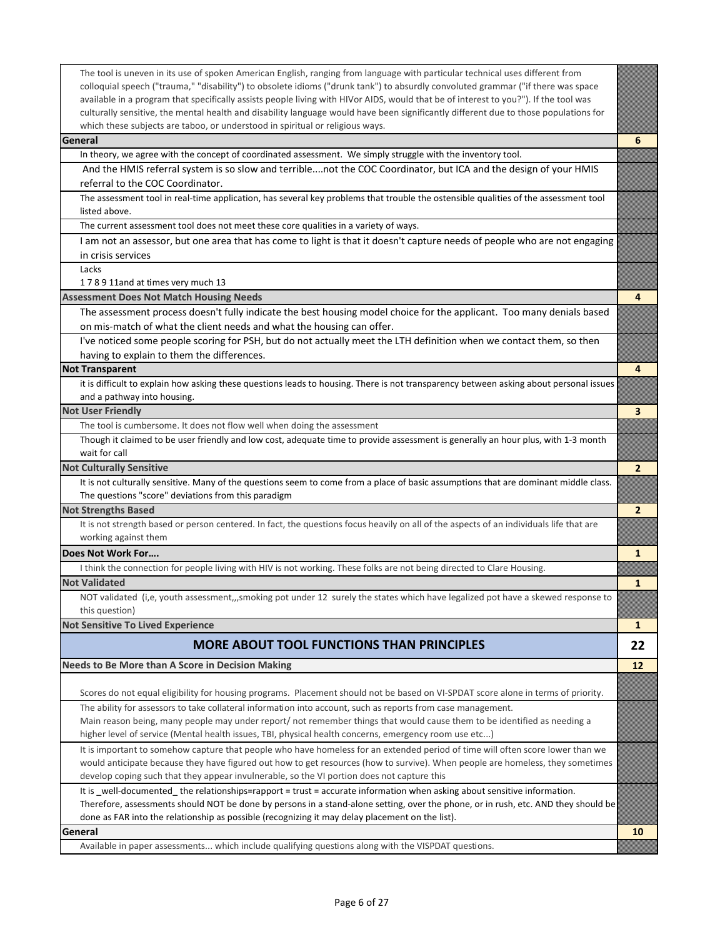| The tool is uneven in its use of spoken American English, ranging from language with particular technical uses different from<br>colloquial speech ("trauma," "disability") to obsolete idioms ("drunk tank") to absurdly convoluted grammar ("if there was space<br>available in a program that specifically assists people living with HIVor AIDS, would that be of interest to you?"). If the tool was<br>culturally sensitive, the mental health and disability language would have been significantly different due to those populations for<br>which these subjects are taboo, or understood in spiritual or religious ways. |                |
|------------------------------------------------------------------------------------------------------------------------------------------------------------------------------------------------------------------------------------------------------------------------------------------------------------------------------------------------------------------------------------------------------------------------------------------------------------------------------------------------------------------------------------------------------------------------------------------------------------------------------------|----------------|
| General                                                                                                                                                                                                                                                                                                                                                                                                                                                                                                                                                                                                                            | 6              |
| In theory, we agree with the concept of coordinated assessment. We simply struggle with the inventory tool.                                                                                                                                                                                                                                                                                                                                                                                                                                                                                                                        |                |
| And the HMIS referral system is so slow and terriblenot the COC Coordinator, but ICA and the design of your HMIS                                                                                                                                                                                                                                                                                                                                                                                                                                                                                                                   |                |
| referral to the COC Coordinator.                                                                                                                                                                                                                                                                                                                                                                                                                                                                                                                                                                                                   |                |
| The assessment tool in real-time application, has several key problems that trouble the ostensible qualities of the assessment tool<br>listed above.                                                                                                                                                                                                                                                                                                                                                                                                                                                                               |                |
| The current assessment tool does not meet these core qualities in a variety of ways.                                                                                                                                                                                                                                                                                                                                                                                                                                                                                                                                               |                |
| I am not an assessor, but one area that has come to light is that it doesn't capture needs of people who are not engaging                                                                                                                                                                                                                                                                                                                                                                                                                                                                                                          |                |
| in crisis services                                                                                                                                                                                                                                                                                                                                                                                                                                                                                                                                                                                                                 |                |
| Lacks                                                                                                                                                                                                                                                                                                                                                                                                                                                                                                                                                                                                                              |                |
| 178911and at times very much 13                                                                                                                                                                                                                                                                                                                                                                                                                                                                                                                                                                                                    |                |
| <b>Assessment Does Not Match Housing Needs</b>                                                                                                                                                                                                                                                                                                                                                                                                                                                                                                                                                                                     | 4              |
| The assessment process doesn't fully indicate the best housing model choice for the applicant. Too many denials based                                                                                                                                                                                                                                                                                                                                                                                                                                                                                                              |                |
| on mis-match of what the client needs and what the housing can offer.                                                                                                                                                                                                                                                                                                                                                                                                                                                                                                                                                              |                |
| I've noticed some people scoring for PSH, but do not actually meet the LTH definition when we contact them, so then                                                                                                                                                                                                                                                                                                                                                                                                                                                                                                                |                |
| having to explain to them the differences.                                                                                                                                                                                                                                                                                                                                                                                                                                                                                                                                                                                         |                |
| <b>Not Transparent</b>                                                                                                                                                                                                                                                                                                                                                                                                                                                                                                                                                                                                             | 4              |
| it is difficult to explain how asking these questions leads to housing. There is not transparency between asking about personal issues                                                                                                                                                                                                                                                                                                                                                                                                                                                                                             |                |
| and a pathway into housing.                                                                                                                                                                                                                                                                                                                                                                                                                                                                                                                                                                                                        |                |
| <b>Not User Friendly</b>                                                                                                                                                                                                                                                                                                                                                                                                                                                                                                                                                                                                           | 3              |
| The tool is cumbersome. It does not flow well when doing the assessment                                                                                                                                                                                                                                                                                                                                                                                                                                                                                                                                                            |                |
| Though it claimed to be user friendly and low cost, adequate time to provide assessment is generally an hour plus, with 1-3 month                                                                                                                                                                                                                                                                                                                                                                                                                                                                                                  |                |
| wait for call                                                                                                                                                                                                                                                                                                                                                                                                                                                                                                                                                                                                                      |                |
| <b>Not Culturally Sensitive</b>                                                                                                                                                                                                                                                                                                                                                                                                                                                                                                                                                                                                    | $\overline{2}$ |
| It is not culturally sensitive. Many of the questions seem to come from a place of basic assumptions that are dominant middle class.                                                                                                                                                                                                                                                                                                                                                                                                                                                                                               |                |
| The questions "score" deviations from this paradigm                                                                                                                                                                                                                                                                                                                                                                                                                                                                                                                                                                                |                |
| <b>Not Strengths Based</b>                                                                                                                                                                                                                                                                                                                                                                                                                                                                                                                                                                                                         | $\overline{2}$ |
| It is not strength based or person centered. In fact, the questions focus heavily on all of the aspects of an individuals life that are<br>working against them                                                                                                                                                                                                                                                                                                                                                                                                                                                                    |                |
| Does Not Work For                                                                                                                                                                                                                                                                                                                                                                                                                                                                                                                                                                                                                  | 1              |
| I think the connection for people living with HIV is not working. These folks are not being directed to Clare Housing.                                                                                                                                                                                                                                                                                                                                                                                                                                                                                                             |                |
| <b>Not Validated</b>                                                                                                                                                                                                                                                                                                                                                                                                                                                                                                                                                                                                               | $\mathbf{1}$   |
| NOT validated (i,e, youth assessment,,,smoking pot under 12 surely the states which have legalized pot have a skewed response to                                                                                                                                                                                                                                                                                                                                                                                                                                                                                                   |                |
| this question)                                                                                                                                                                                                                                                                                                                                                                                                                                                                                                                                                                                                                     |                |
| <b>Not Sensitive To Lived Experience</b>                                                                                                                                                                                                                                                                                                                                                                                                                                                                                                                                                                                           | 1              |
| <b>MORE ABOUT TOOL FUNCTIONS THAN PRINCIPLES</b>                                                                                                                                                                                                                                                                                                                                                                                                                                                                                                                                                                                   | 22             |
| Needs to Be More than A Score in Decision Making                                                                                                                                                                                                                                                                                                                                                                                                                                                                                                                                                                                   | 12             |
| Scores do not equal eligibility for housing programs. Placement should not be based on VI-SPDAT score alone in terms of priority.                                                                                                                                                                                                                                                                                                                                                                                                                                                                                                  |                |
| The ability for assessors to take collateral information into account, such as reports from case management.                                                                                                                                                                                                                                                                                                                                                                                                                                                                                                                       |                |
| Main reason being, many people may under report/not remember things that would cause them to be identified as needing a                                                                                                                                                                                                                                                                                                                                                                                                                                                                                                            |                |
| higher level of service (Mental health issues, TBI, physical health concerns, emergency room use etc)                                                                                                                                                                                                                                                                                                                                                                                                                                                                                                                              |                |
| It is important to somehow capture that people who have homeless for an extended period of time will often score lower than we<br>would anticipate because they have figured out how to get resources (how to survive). When people are homeless, they sometimes                                                                                                                                                                                                                                                                                                                                                                   |                |
| develop coping such that they appear invulnerable, so the VI portion does not capture this                                                                                                                                                                                                                                                                                                                                                                                                                                                                                                                                         |                |
| It is _well-documented_the relationships=rapport = trust = accurate information when asking about sensitive information.                                                                                                                                                                                                                                                                                                                                                                                                                                                                                                           |                |
| Therefore, assessments should NOT be done by persons in a stand-alone setting, over the phone, or in rush, etc. AND they should be                                                                                                                                                                                                                                                                                                                                                                                                                                                                                                 |                |
| done as FAR into the relationship as possible (recognizing it may delay placement on the list).                                                                                                                                                                                                                                                                                                                                                                                                                                                                                                                                    |                |
| General                                                                                                                                                                                                                                                                                                                                                                                                                                                                                                                                                                                                                            | 10             |
| Available in paper assessments which include qualifying questions along with the VISPDAT questions.                                                                                                                                                                                                                                                                                                                                                                                                                                                                                                                                |                |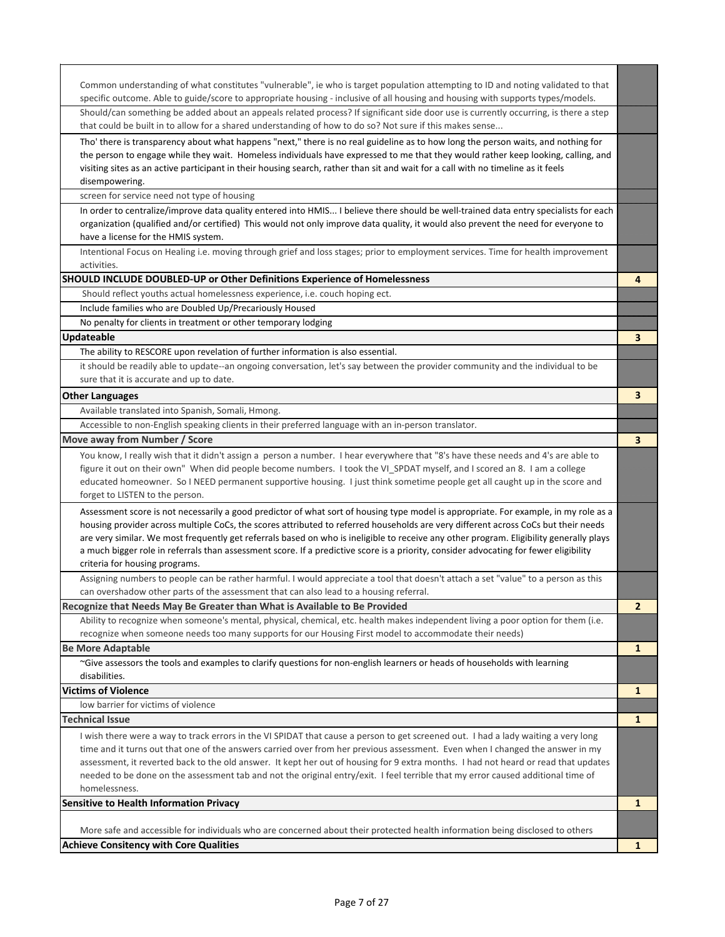| Common understanding of what constitutes "vulnerable", ie who is target population attempting to ID and noting validated to that<br>specific outcome. Able to guide/score to appropriate housing - inclusive of all housing and housing with supports types/models.                                                                                                                                                                                                                                                                                                                              |                |
|--------------------------------------------------------------------------------------------------------------------------------------------------------------------------------------------------------------------------------------------------------------------------------------------------------------------------------------------------------------------------------------------------------------------------------------------------------------------------------------------------------------------------------------------------------------------------------------------------|----------------|
| Should/can something be added about an appeals related process? If significant side door use is currently occurring, is there a step<br>that could be built in to allow for a shared understanding of how to do so? Not sure if this makes sense                                                                                                                                                                                                                                                                                                                                                 |                |
| Tho' there is transparency about what happens "next," there is no real guideline as to how long the person waits, and nothing for<br>the person to engage while they wait. Homeless individuals have expressed to me that they would rather keep looking, calling, and<br>visiting sites as an active participant in their housing search, rather than sit and wait for a call with no timeline as it feels<br>disempowering.                                                                                                                                                                    |                |
| screen for service need not type of housing                                                                                                                                                                                                                                                                                                                                                                                                                                                                                                                                                      |                |
| In order to centralize/improve data quality entered into HMIS I believe there should be well-trained data entry specialists for each<br>organization (qualified and/or certified) This would not only improve data quality, it would also prevent the need for everyone to<br>have a license for the HMIS system.                                                                                                                                                                                                                                                                                |                |
| Intentional Focus on Healing i.e. moving through grief and loss stages; prior to employment services. Time for health improvement<br>activities.                                                                                                                                                                                                                                                                                                                                                                                                                                                 |                |
| <b>SHOULD INCLUDE DOUBLED-UP or Other Definitions Experience of Homelessness</b>                                                                                                                                                                                                                                                                                                                                                                                                                                                                                                                 | 4              |
| Should reflect youths actual homelessness experience, i.e. couch hoping ect.                                                                                                                                                                                                                                                                                                                                                                                                                                                                                                                     |                |
| Include families who are Doubled Up/Precariously Housed                                                                                                                                                                                                                                                                                                                                                                                                                                                                                                                                          |                |
| No penalty for clients in treatment or other temporary lodging                                                                                                                                                                                                                                                                                                                                                                                                                                                                                                                                   |                |
| <b>Updateable</b>                                                                                                                                                                                                                                                                                                                                                                                                                                                                                                                                                                                | 3              |
| The ability to RESCORE upon revelation of further information is also essential.                                                                                                                                                                                                                                                                                                                                                                                                                                                                                                                 |                |
| it should be readily able to update--an ongoing conversation, let's say between the provider community and the individual to be<br>sure that it is accurate and up to date.                                                                                                                                                                                                                                                                                                                                                                                                                      |                |
| <b>Other Languages</b>                                                                                                                                                                                                                                                                                                                                                                                                                                                                                                                                                                           | 3              |
| Available translated into Spanish, Somali, Hmong.                                                                                                                                                                                                                                                                                                                                                                                                                                                                                                                                                |                |
| Accessible to non-English speaking clients in their preferred language with an in-person translator.                                                                                                                                                                                                                                                                                                                                                                                                                                                                                             |                |
| Move away from Number / Score                                                                                                                                                                                                                                                                                                                                                                                                                                                                                                                                                                    | 3              |
| You know, I really wish that it didn't assign a person a number. I hear everywhere that "8's have these needs and 4's are able to<br>figure it out on their own" When did people become numbers. I took the VI_SPDAT myself, and I scored an 8. I am a college<br>educated homeowner. So INEED permanent supportive housing. I just think sometime people get all caught up in the score and<br>forget to LISTEN to the person.                                                                                                                                                                  |                |
| Assessment score is not necessarily a good predictor of what sort of housing type model is appropriate. For example, in my role as a<br>housing provider across multiple CoCs, the scores attributed to referred households are very different across CoCs but their needs<br>are very similar. We most frequently get referrals based on who is ineligible to receive any other program. Eligibility generally plays<br>a much bigger role in referrals than assessment score. If a predictive score is a priority, consider advocating for fewer eligibility<br>criteria for housing programs. |                |
| Assigning numbers to people can be rather harmful. I would appreciate a tool that doesn't attach a set "value" to a person as this                                                                                                                                                                                                                                                                                                                                                                                                                                                               |                |
| can overshadow other parts of the assessment that can also lead to a housing referral.                                                                                                                                                                                                                                                                                                                                                                                                                                                                                                           |                |
| Recognize that Needs May Be Greater than What is Available to Be Provided                                                                                                                                                                                                                                                                                                                                                                                                                                                                                                                        | $\overline{2}$ |
| Ability to recognize when someone's mental, physical, chemical, etc. health makes independent living a poor option for them (i.e.                                                                                                                                                                                                                                                                                                                                                                                                                                                                |                |
| recognize when someone needs too many supports for our Housing First model to accommodate their needs)                                                                                                                                                                                                                                                                                                                                                                                                                                                                                           |                |
| <b>Be More Adaptable</b>                                                                                                                                                                                                                                                                                                                                                                                                                                                                                                                                                                         | $\mathbf{1}$   |
| ~Give assessors the tools and examples to clarify questions for non-english learners or heads of households with learning<br>disabilities.                                                                                                                                                                                                                                                                                                                                                                                                                                                       |                |
| <b>Victims of Violence</b>                                                                                                                                                                                                                                                                                                                                                                                                                                                                                                                                                                       |                |
| low barrier for victims of violence                                                                                                                                                                                                                                                                                                                                                                                                                                                                                                                                                              | $\mathbf{1}$   |
| <b>Technical Issue</b>                                                                                                                                                                                                                                                                                                                                                                                                                                                                                                                                                                           | $\mathbf{1}$   |
|                                                                                                                                                                                                                                                                                                                                                                                                                                                                                                                                                                                                  |                |
| I wish there were a way to track errors in the VI SPIDAT that cause a person to get screened out. I had a lady waiting a very long<br>time and it turns out that one of the answers carried over from her previous assessment. Even when I changed the answer in my<br>assessment, it reverted back to the old answer. It kept her out of housing for 9 extra months. I had not heard or read that updates<br>needed to be done on the assessment tab and not the original entry/exit. I feel terrible that my error caused additional time of<br>homelessness.                                  |                |
| <b>Sensitive to Health Information Privacy</b>                                                                                                                                                                                                                                                                                                                                                                                                                                                                                                                                                   | $\mathbf{1}$   |
| More safe and accessible for individuals who are concerned about their protected health information being disclosed to others                                                                                                                                                                                                                                                                                                                                                                                                                                                                    |                |
| <b>Achieve Consitency with Core Qualities</b>                                                                                                                                                                                                                                                                                                                                                                                                                                                                                                                                                    | $\mathbf{1}$   |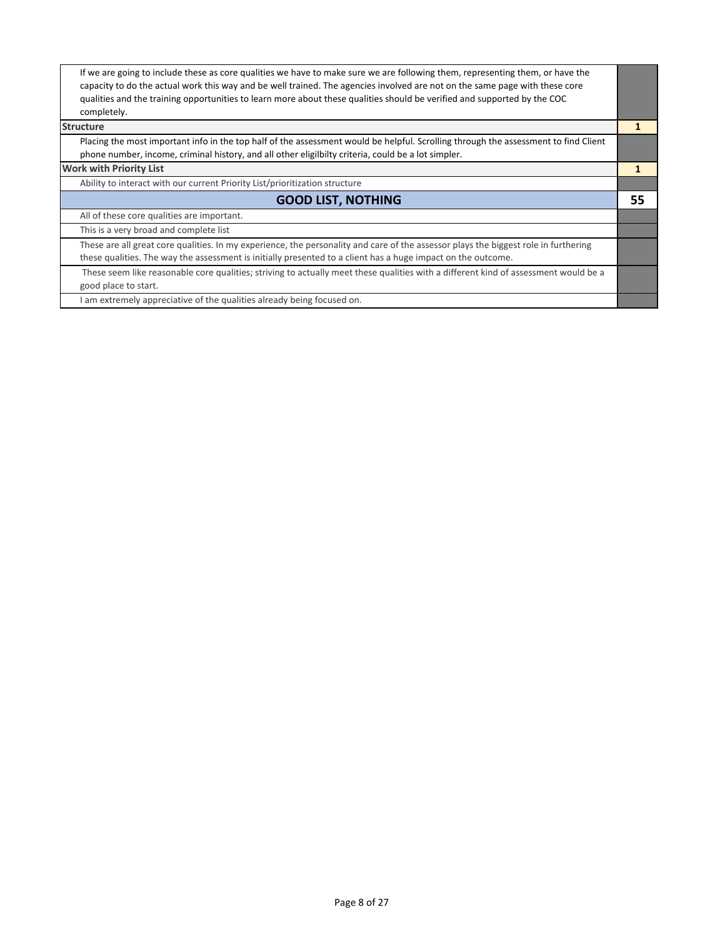| If we are going to include these as core qualities we have to make sure we are following them, representing them, or have the<br>capacity to do the actual work this way and be well trained. The agencies involved are not on the same page with these core |    |
|--------------------------------------------------------------------------------------------------------------------------------------------------------------------------------------------------------------------------------------------------------------|----|
| qualities and the training opportunities to learn more about these qualities should be verified and supported by the COC<br>completely.                                                                                                                      |    |
| <b>Structure</b>                                                                                                                                                                                                                                             |    |
| Placing the most important info in the top half of the assessment would be helpful. Scrolling through the assessment to find Client<br>phone number, income, criminal history, and all other eligilbilty criteria, could be a lot simpler.                   |    |
| <b>Work with Priority List</b>                                                                                                                                                                                                                               |    |
| Ability to interact with our current Priority List/prioritization structure                                                                                                                                                                                  |    |
| <b>GOOD LIST, NOTHING</b>                                                                                                                                                                                                                                    | 55 |
| All of these core qualities are important.                                                                                                                                                                                                                   |    |
| This is a very broad and complete list                                                                                                                                                                                                                       |    |
| These are all great core qualities. In my experience, the personality and care of the assessor plays the biggest role in furthering                                                                                                                          |    |
| these qualities. The way the assessment is initially presented to a client has a huge impact on the outcome.                                                                                                                                                 |    |
| These seem like reasonable core qualities; striving to actually meet these qualities with a different kind of assessment would be a                                                                                                                          |    |
| good place to start.                                                                                                                                                                                                                                         |    |
| I am extremely appreciative of the qualities already being focused on.                                                                                                                                                                                       |    |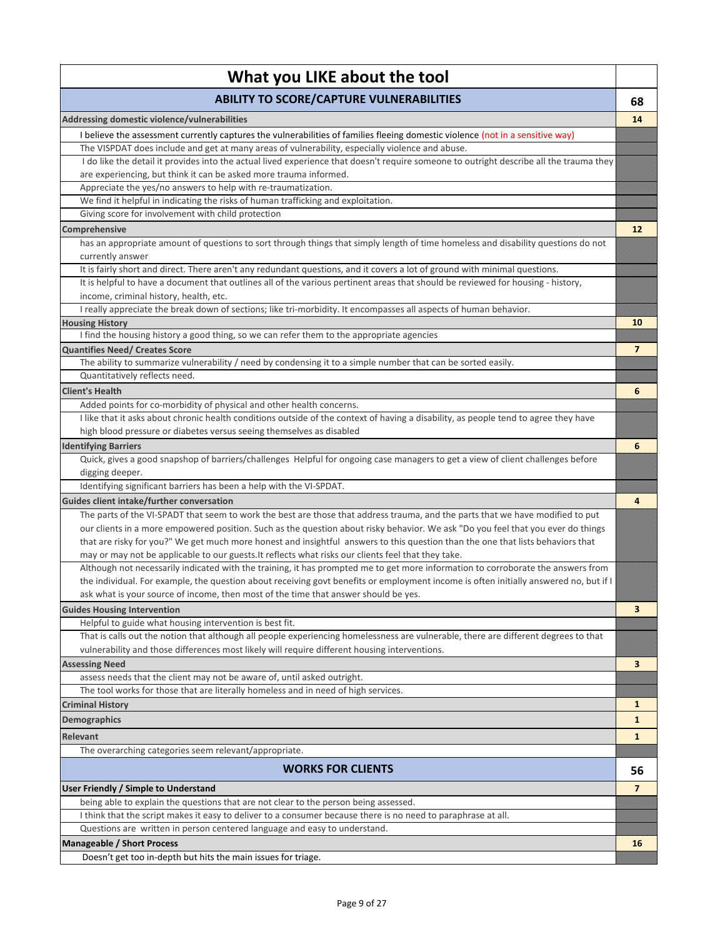| What you LIKE about the tool                                                                                                                                                                                 |                |
|--------------------------------------------------------------------------------------------------------------------------------------------------------------------------------------------------------------|----------------|
| <b>ABILITY TO SCORE/CAPTURE VULNERABILITIES</b>                                                                                                                                                              | 68             |
| Addressing domestic violence/vulnerabilities                                                                                                                                                                 | 14             |
| I believe the assessment currently captures the vulnerabilities of families fleeing domestic violence (not in a sensitive way)                                                                               |                |
| The VISPDAT does include and get at many areas of vulnerability, especially violence and abuse.                                                                                                              |                |
| I do like the detail it provides into the actual lived experience that doesn't require someone to outright describe all the trauma they                                                                      |                |
| are experiencing, but think it can be asked more trauma informed.                                                                                                                                            |                |
| Appreciate the yes/no answers to help with re-traumatization.                                                                                                                                                |                |
| We find it helpful in indicating the risks of human trafficking and exploitation.                                                                                                                            |                |
| Giving score for involvement with child protection                                                                                                                                                           |                |
| Comprehensive                                                                                                                                                                                                | 12             |
| has an appropriate amount of questions to sort through things that simply length of time homeless and disability questions do not                                                                            |                |
| currently answer                                                                                                                                                                                             |                |
| It is fairly short and direct. There aren't any redundant questions, and it covers a lot of ground with minimal questions.                                                                                   |                |
| It is helpful to have a document that outlines all of the various pertinent areas that should be reviewed for housing - history,                                                                             |                |
| income, criminal history, health, etc.<br>I really appreciate the break down of sections; like tri-morbidity. It encompasses all aspects of human behavior.                                                  |                |
| <b>Housing History</b>                                                                                                                                                                                       | 10             |
| I find the housing history a good thing, so we can refer them to the appropriate agencies                                                                                                                    |                |
| <b>Quantifies Need/ Creates Score</b>                                                                                                                                                                        | $\overline{7}$ |
| The ability to summarize vulnerability / need by condensing it to a simple number that can be sorted easily.                                                                                                 |                |
| Quantitatively reflects need.                                                                                                                                                                                |                |
| <b>Client's Health</b>                                                                                                                                                                                       | 6              |
|                                                                                                                                                                                                              |                |
| Added points for co-morbidity of physical and other health concerns.<br>I like that it asks about chronic health conditions outside of the context of having a disability, as people tend to agree they have |                |
| high blood pressure or diabetes versus seeing themselves as disabled                                                                                                                                         |                |
|                                                                                                                                                                                                              |                |
| <b>Identifying Barriers</b><br>Quick, gives a good snapshop of barriers/challenges Helpful for ongoing case managers to get a view of client challenges before                                               | 6              |
| digging deeper.                                                                                                                                                                                              |                |
| Identifying significant barriers has been a help with the VI-SPDAT.                                                                                                                                          |                |
| Guides client intake/further conversation                                                                                                                                                                    | 4              |
| The parts of the VI-SPADT that seem to work the best are those that address trauma, and the parts that we have modified to put                                                                               |                |
| our clients in a more empowered position. Such as the question about risky behavior. We ask "Do you feel that you ever do things                                                                             |                |
| that are risky for you?" We get much more honest and insightful answers to this question than the one that lists behaviors that                                                                              |                |
| may or may not be applicable to our guests. It reflects what risks our clients feel that they take.                                                                                                          |                |
| Although not necessarily indicated with the training, it has prompted me to get more information to corroborate the answers from                                                                             |                |
| the individual. For example, the question about receiving govt benefits or employment income is often initially answered no, but if I                                                                        |                |
| ask what is your source of income, then most of the time that answer should be yes.                                                                                                                          |                |
| <b>Guides Housing Intervention</b>                                                                                                                                                                           | 3              |
| Helpful to guide what housing intervention is best fit.                                                                                                                                                      |                |
| That is calls out the notion that although all people experiencing homelessness are vulnerable, there are different degrees to that                                                                          |                |
| vulnerability and those differences most likely will require different housing interventions.                                                                                                                |                |
| <b>Assessing Need</b>                                                                                                                                                                                        | 3              |
| assess needs that the client may not be aware of, until asked outright.                                                                                                                                      |                |
| The tool works for those that are literally homeless and in need of high services.                                                                                                                           |                |
| <b>Criminal History</b>                                                                                                                                                                                      | 1              |
| <b>Demographics</b>                                                                                                                                                                                          | 1              |
| Relevant                                                                                                                                                                                                     | $\mathbf{1}$   |
| The overarching categories seem relevant/appropriate.                                                                                                                                                        |                |
| <b>WORKS FOR CLIENTS</b>                                                                                                                                                                                     | 56             |
| User Friendly / Simple to Understand                                                                                                                                                                         | $\overline{7}$ |
| being able to explain the questions that are not clear to the person being assessed.                                                                                                                         |                |
| I think that the script makes it easy to deliver to a consumer because there is no need to paraphrase at all.                                                                                                |                |
| Questions are written in person centered language and easy to understand.                                                                                                                                    |                |
| <b>Manageable / Short Process</b>                                                                                                                                                                            | 16             |
| Doesn't get too in-depth but hits the main issues for triage.                                                                                                                                                |                |
|                                                                                                                                                                                                              |                |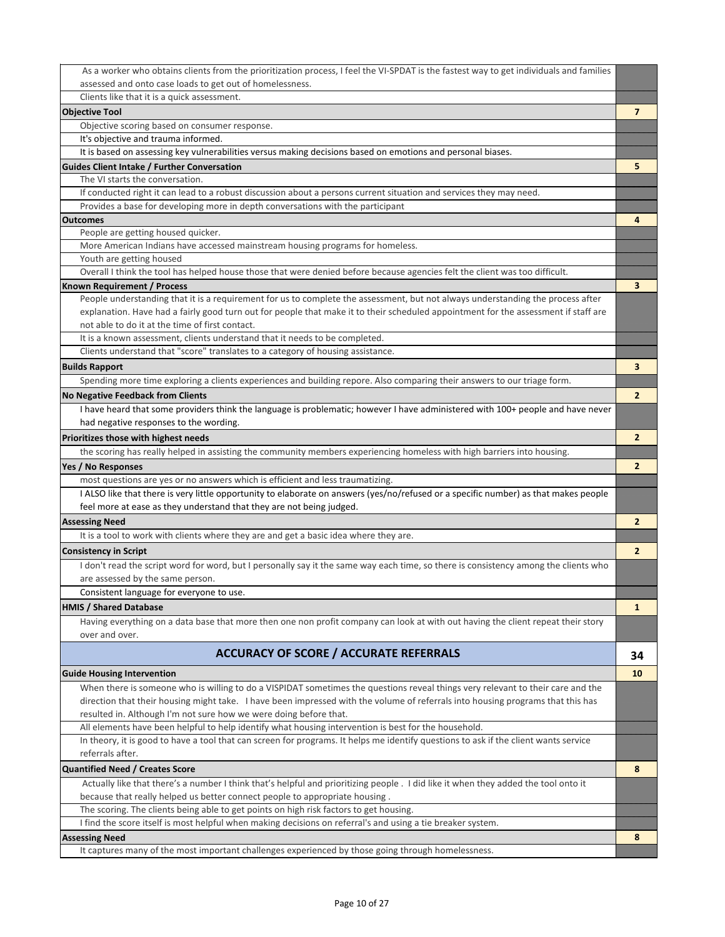| As a worker who obtains clients from the prioritization process, I feel the VI-SPDAT is the fastest way to get individuals and families |                |
|-----------------------------------------------------------------------------------------------------------------------------------------|----------------|
| assessed and onto case loads to get out of homelessness.                                                                                |                |
| Clients like that it is a quick assessment.                                                                                             |                |
| <b>Objective Tool</b>                                                                                                                   | 7              |
| Objective scoring based on consumer response.                                                                                           |                |
| It's objective and trauma informed.                                                                                                     |                |
| It is based on assessing key vulnerabilities versus making decisions based on emotions and personal biases.                             |                |
| <b>Guides Client Intake / Further Conversation</b>                                                                                      | 5              |
| The VI starts the conversation.                                                                                                         |                |
| If conducted right it can lead to a robust discussion about a persons current situation and services they may need.                     |                |
| Provides a base for developing more in depth conversations with the participant                                                         |                |
| <b>Outcomes</b>                                                                                                                         | 4              |
| People are getting housed quicker.                                                                                                      |                |
| More American Indians have accessed mainstream housing programs for homeless.                                                           |                |
| Youth are getting housed                                                                                                                |                |
| Overall I think the tool has helped house those that were denied before because agencies felt the client was too difficult.             |                |
| <b>Known Requirement / Process</b>                                                                                                      | 3              |
| People understanding that it is a requirement for us to complete the assessment, but not always understanding the process after         |                |
| explanation. Have had a fairly good turn out for people that make it to their scheduled appointment for the assessment if staff are     |                |
| not able to do it at the time of first contact.                                                                                         |                |
| It is a known assessment, clients understand that it needs to be completed.                                                             |                |
| Clients understand that "score" translates to a category of housing assistance.                                                         |                |
| <b>Builds Rapport</b>                                                                                                                   | 3              |
| Spending more time exploring a clients experiences and building repore. Also comparing their answers to our triage form.                |                |
| <b>No Negative Feedback from Clients</b>                                                                                                | $\overline{2}$ |
| I have heard that some providers think the language is problematic; however I have administered with 100+ people and have never         |                |
| had negative responses to the wording.                                                                                                  |                |
| Prioritizes those with highest needs                                                                                                    | $\overline{2}$ |
| the scoring has really helped in assisting the community members experiencing homeless with high barriers into housing.                 |                |
| Yes / No Responses                                                                                                                      | $\overline{2}$ |
| most questions are yes or no answers which is efficient and less traumatizing.                                                          |                |
| I ALSO like that there is very little opportunity to elaborate on answers (yes/no/refused or a specific number) as that makes people    |                |
| feel more at ease as they understand that they are not being judged.                                                                    |                |
| <b>Assessing Need</b>                                                                                                                   | $\overline{2}$ |
| It is a tool to work with clients where they are and get a basic idea where they are.                                                   |                |
|                                                                                                                                         | $\overline{2}$ |
| <b>Consistency in Script</b>                                                                                                            |                |
| I don't read the script word for word, but I personally say it the same way each time, so there is consistency among the clients who    |                |
| are assessed by the same person.                                                                                                        |                |
| Consistent language for everyone to use.                                                                                                |                |
| <b>HMIS / Shared Database</b>                                                                                                           | $\mathbf{1}$   |
| Having everything on a data base that more then one non profit company can look at with out having the client repeat their story        |                |
| over and over.                                                                                                                          |                |
| <b>ACCURACY OF SCORE / ACCURATE REFERRALS</b>                                                                                           | 34             |
|                                                                                                                                         |                |
| <b>Guide Housing Intervention</b>                                                                                                       | 10             |
| When there is someone who is willing to do a VISPIDAT sometimes the questions reveal things very relevant to their care and the         |                |
| direction that their housing might take. I have been impressed with the volume of referrals into housing programs that this has         |                |
| resulted in. Although I'm not sure how we were doing before that.                                                                       |                |
| All elements have been helpful to help identify what housing intervention is best for the household.                                    |                |
| In theory, it is good to have a tool that can screen for programs. It helps me identify questions to ask if the client wants service    |                |
| referrals after.                                                                                                                        |                |
| <b>Quantified Need / Creates Score</b>                                                                                                  | 8              |
| Actually like that there's a number I think that's helpful and prioritizing people. I did like it when they added the tool onto it      |                |
| because that really helped us better connect people to appropriate housing.                                                             |                |
| The scoring. The clients being able to get points on high risk factors to get housing.                                                  |                |
| I find the score itself is most helpful when making decisions on referral's and using a tie breaker system.                             |                |
| <b>Assessing Need</b>                                                                                                                   | 8              |
| It captures many of the most important challenges experienced by those going through homelessness.                                      |                |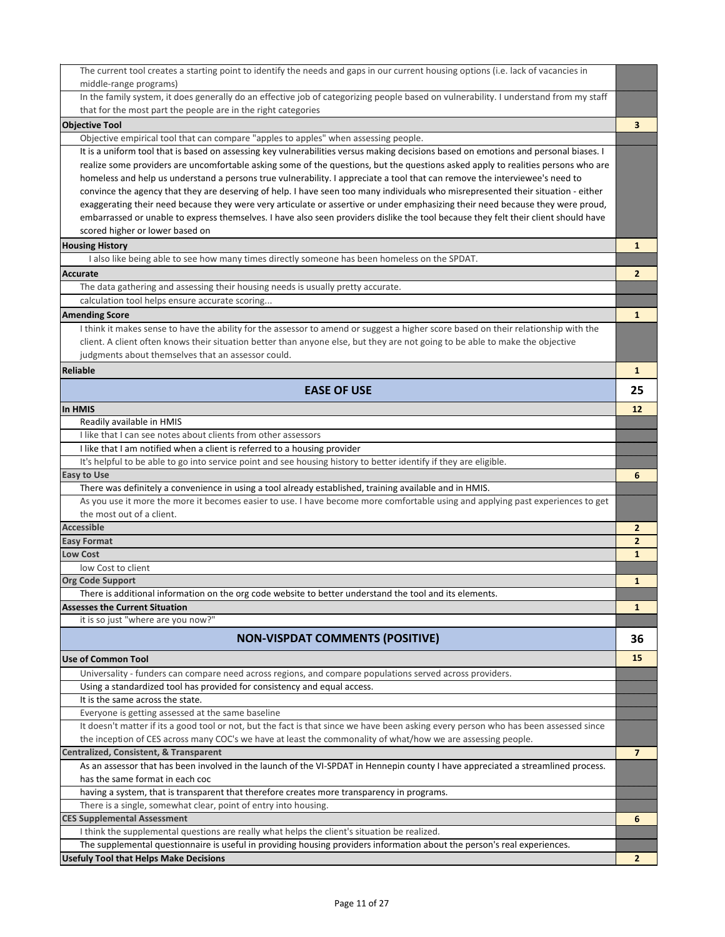| The current tool creates a starting point to identify the needs and gaps in our current housing options (i.e. lack of vacancies in                                                   |                |
|--------------------------------------------------------------------------------------------------------------------------------------------------------------------------------------|----------------|
| middle-range programs)                                                                                                                                                               |                |
| In the family system, it does generally do an effective job of categorizing people based on vulnerability. I understand from my staff                                                |                |
| that for the most part the people are in the right categories                                                                                                                        |                |
| <b>Objective Tool</b>                                                                                                                                                                | 3              |
| Objective empirical tool that can compare "apples to apples" when assessing people.                                                                                                  |                |
| It is a uniform tool that is based on assessing key vulnerabilities versus making decisions based on emotions and personal biases. I                                                 |                |
| realize some providers are uncomfortable asking some of the questions, but the questions asked apply to realities persons who are                                                    |                |
| homeless and help us understand a persons true vulnerability. I appreciate a tool that can remove the interviewee's need to                                                          |                |
| convince the agency that they are deserving of help. I have seen too many individuals who misrepresented their situation - either                                                    |                |
| exaggerating their need because they were very articulate or assertive or under emphasizing their need because they were proud,                                                      |                |
| embarrassed or unable to express themselves. I have also seen providers dislike the tool because they felt their client should have                                                  |                |
| scored higher or lower based on                                                                                                                                                      |                |
| <b>Housing History</b>                                                                                                                                                               | 1              |
| I also like being able to see how many times directly someone has been homeless on the SPDAT.                                                                                        |                |
| <b>Accurate</b>                                                                                                                                                                      | $\overline{2}$ |
| The data gathering and assessing their housing needs is usually pretty accurate.                                                                                                     |                |
| calculation tool helps ensure accurate scoring                                                                                                                                       |                |
| <b>Amending Score</b>                                                                                                                                                                | 1              |
| I think it makes sense to have the ability for the assessor to amend or suggest a higher score based on their relationship with the                                                  |                |
| client. A client often knows their situation better than anyone else, but they are not going to be able to make the objective                                                        |                |
| judgments about themselves that an assessor could.                                                                                                                                   |                |
| <b>Reliable</b>                                                                                                                                                                      | 1              |
| <b>EASE OF USE</b>                                                                                                                                                                   | 25             |
|                                                                                                                                                                                      |                |
| <b>In HMIS</b>                                                                                                                                                                       | 12             |
| Readily available in HMIS<br>I like that I can see notes about clients from other assessors                                                                                          |                |
| I like that I am notified when a client is referred to a housing provider                                                                                                            |                |
| It's helpful to be able to go into service point and see housing history to better identify if they are eligible.                                                                    |                |
| <b>Easy to Use</b>                                                                                                                                                                   | 6              |
| There was definitely a convenience in using a tool already established, training available and in HMIS.                                                                              |                |
| As you use it more the more it becomes easier to use. I have become more comfortable using and applying past experiences to get                                                      |                |
| the most out of a client.                                                                                                                                                            |                |
| <b>Accessible</b>                                                                                                                                                                    | 2              |
| <b>Easy Format</b>                                                                                                                                                                   | $\mathbf{2}$   |
| <b>Low Cost</b>                                                                                                                                                                      | 1              |
| low Cost to client                                                                                                                                                                   |                |
| <b>Org Code Support</b>                                                                                                                                                              | 1              |
| There is additional information on the org code website to better understand the tool and its elements                                                                               |                |
| <b>Assesses the Current Situation</b>                                                                                                                                                | 1              |
| it is so just "where are you now?"                                                                                                                                                   |                |
| <b>NON-VISPDAT COMMENTS (POSITIVE)</b>                                                                                                                                               | 36             |
|                                                                                                                                                                                      | 15             |
| <b>Use of Common Tool</b>                                                                                                                                                            |                |
| Universality - funders can compare need across regions, and compare populations served across providers.<br>Using a standardized tool has provided for consistency and equal access. |                |
| It is the same across the state.                                                                                                                                                     |                |
| Everyone is getting assessed at the same baseline                                                                                                                                    |                |
| It doesn't matter if its a good tool or not, but the fact is that since we have been asking every person who has been assessed since                                                 |                |
| the inception of CES across many COC's we have at least the commonality of what/how we are assessing people.                                                                         |                |
| Centralized, Consistent, & Transparent                                                                                                                                               | $\overline{7}$ |
| As an assessor that has been involved in the launch of the VI-SPDAT in Hennepin county I have appreciated a streamlined process.                                                     |                |
| has the same format in each coc                                                                                                                                                      |                |
| having a system, that is transparent that therefore creates more transparency in programs.                                                                                           |                |
| There is a single, somewhat clear, point of entry into housing.                                                                                                                      |                |
| <b>CES Supplemental Assessment</b>                                                                                                                                                   | 6              |
| I think the supplemental questions are really what helps the client's situation be realized.                                                                                         |                |
| The supplemental questionnaire is useful in providing housing providers information about the person's real experiences.                                                             |                |
| <b>Usefuly Tool that Helps Make Decisions</b>                                                                                                                                        | $\mathbf{2}$   |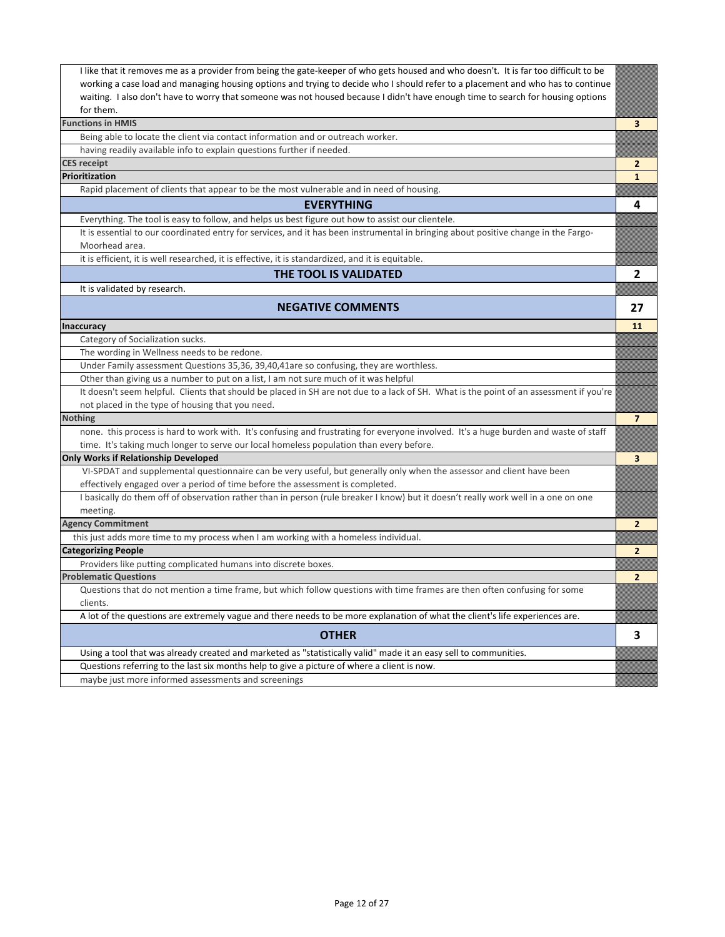| I like that it removes me as a provider from being the gate-keeper of who gets housed and who doesn't. It is far too difficult to be   |                |
|----------------------------------------------------------------------------------------------------------------------------------------|----------------|
| working a case load and managing housing options and trying to decide who I should refer to a placement and who has to continue        |                |
| waiting. I also don't have to worry that someone was not housed because I didn't have enough time to search for housing options        |                |
| for them.                                                                                                                              |                |
| <b>Functions in HMIS</b>                                                                                                               | 3              |
| Being able to locate the client via contact information and or outreach worker.                                                        |                |
| having readily available info to explain questions further if needed.                                                                  |                |
| <b>CES receipt</b>                                                                                                                     | 2              |
| Prioritization                                                                                                                         | 1              |
| Rapid placement of clients that appear to be the most vulnerable and in need of housing.                                               |                |
| <b>EVERYTHING</b>                                                                                                                      | 4              |
| Everything. The tool is easy to follow, and helps us best figure out how to assist our clientele.                                      |                |
| It is essential to our coordinated entry for services, and it has been instrumental in bringing about positive change in the Fargo-    |                |
| Moorhead area.                                                                                                                         |                |
| it is efficient, it is well researched, it is effective, it is standardized, and it is equitable.                                      |                |
| THE TOOL IS VALIDATED                                                                                                                  | 2              |
| It is validated by research.                                                                                                           |                |
| <b>NEGATIVE COMMENTS</b>                                                                                                               | 27             |
| <b>Inaccuracy</b>                                                                                                                      | 11             |
| Category of Socialization sucks.                                                                                                       |                |
| The wording in Wellness needs to be redone.                                                                                            |                |
| Under Family assessment Questions 35,36, 39,40,41are so confusing, they are worthless.                                                 |                |
| Other than giving us a number to put on a list, I am not sure much of it was helpful                                                   |                |
| It doesn't seem helpful. Clients that should be placed in SH are not due to a lack of SH. What is the point of an assessment if you're |                |
| not placed in the type of housing that you need.                                                                                       |                |
| <b>Nothing</b>                                                                                                                         | $\overline{7}$ |
| none. this process is hard to work with. It's confusing and frustrating for everyone involved. It's a huge burden and waste of staff   |                |
| time. It's taking much longer to serve our local homeless population than every before.                                                |                |
| Only Works if Relationship Developed                                                                                                   | 3              |
| VI-SPDAT and supplemental questionnaire can be very useful, but generally only when the assessor and client have been                  |                |
| effectively engaged over a period of time before the assessment is completed.                                                          |                |
| I basically do them off of observation rather than in person (rule breaker I know) but it doesn't really work well in a one on one     |                |
|                                                                                                                                        |                |
| meeting.<br><b>Agency Commitment</b>                                                                                                   |                |
| this just adds more time to my process when I am working with a homeless individual.                                                   | $\mathbf{2}$   |
| <b>Categorizing People</b>                                                                                                             | $\mathbf{2}$   |
| Providers like putting complicated humans into discrete boxes.                                                                         |                |
| <b>Problematic Questions</b>                                                                                                           | $\mathbf{2}$   |
| Questions that do not mention a time frame, but which follow questions with time frames are then often confusing for some              |                |
| clients.                                                                                                                               |                |
| A lot of the questions are extremely vague and there needs to be more explanation of what the client's life experiences are.           |                |
|                                                                                                                                        |                |
| <b>OTHER</b>                                                                                                                           | 3              |
| Using a tool that was already created and marketed as "statistically valid" made it an easy sell to communities.                       |                |
| Questions referring to the last six months help to give a picture of where a client is now.                                            |                |
| maybe just more informed assessments and screenings                                                                                    |                |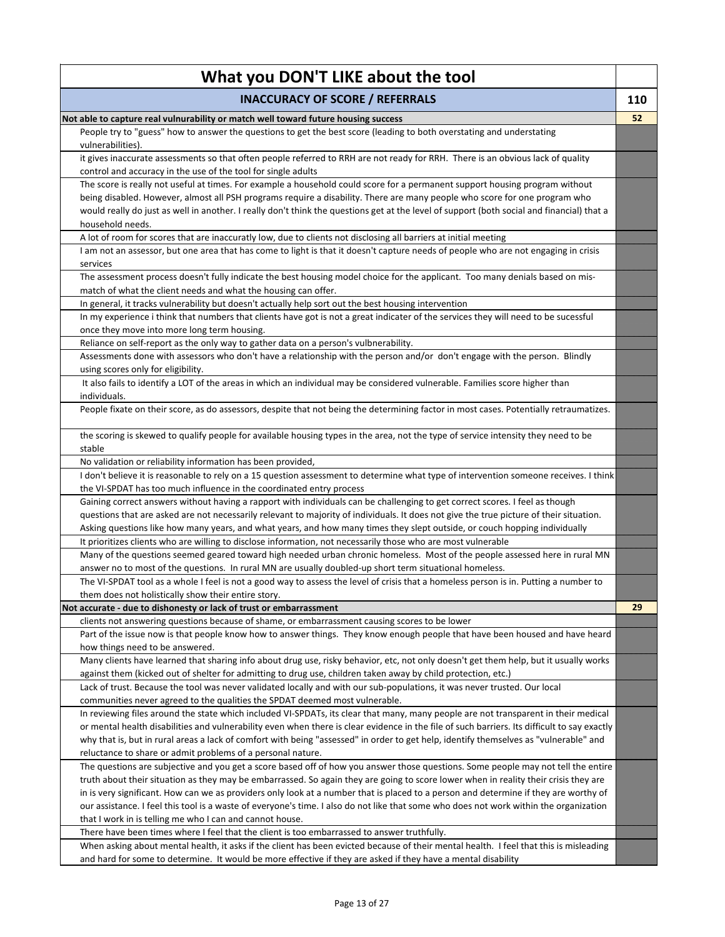| What you DON'T LIKE about the tool                                                                                                                                                                                                                                       |     |
|--------------------------------------------------------------------------------------------------------------------------------------------------------------------------------------------------------------------------------------------------------------------------|-----|
| <b>INACCURACY OF SCORE / REFERRALS</b>                                                                                                                                                                                                                                   | 110 |
| Not able to capture real vulnurability or match well toward future housing success                                                                                                                                                                                       | 52  |
| People try to "guess" how to answer the questions to get the best score (leading to both overstating and understating<br>vulnerabilities).                                                                                                                               |     |
| it gives inaccurate assessments so that often people referred to RRH are not ready for RRH. There is an obvious lack of quality                                                                                                                                          |     |
| control and accuracy in the use of the tool for single adults                                                                                                                                                                                                            |     |
| The score is really not useful at times. For example a household could score for a permanent support housing program without                                                                                                                                             |     |
| being disabled. However, almost all PSH programs require a disability. There are many people who score for one program who<br>would really do just as well in another. I really don't think the questions get at the level of support (both social and financial) that a |     |
| household needs.                                                                                                                                                                                                                                                         |     |
| A lot of room for scores that are inaccuratly low, due to clients not disclosing all barriers at initial meeting                                                                                                                                                         |     |
| I am not an assessor, but one area that has come to light is that it doesn't capture needs of people who are not engaging in crisis<br>services                                                                                                                          |     |
| The assessment process doesn't fully indicate the best housing model choice for the applicant. Too many denials based on mis-<br>match of what the client needs and what the housing can offer.                                                                          |     |
| In general, it tracks vulnerability but doesn't actually help sort out the best housing intervention                                                                                                                                                                     |     |
| In my experience i think that numbers that clients have got is not a great indicater of the services they will need to be sucessful<br>once they move into more long term housing.                                                                                       |     |
| Reliance on self-report as the only way to gather data on a person's vulbnerability.                                                                                                                                                                                     |     |
| Assessments done with assessors who don't have a relationship with the person and/or don't engage with the person. Blindly<br>using scores only for eligibility.                                                                                                         |     |
| It also fails to identify a LOT of the areas in which an individual may be considered vulnerable. Families score higher than<br>individuals.                                                                                                                             |     |
| People fixate on their score, as do assessors, despite that not being the determining factor in most cases. Potentially retraumatizes.                                                                                                                                   |     |
| the scoring is skewed to qualify people for available housing types in the area, not the type of service intensity they need to be<br>stable                                                                                                                             |     |
| No validation or reliability information has been provided,                                                                                                                                                                                                              |     |
| I don't believe it is reasonable to rely on a 15 question assessment to determine what type of intervention someone receives. I think<br>the VI-SPDAT has too much influence in the coordinated entry process                                                            |     |
| Gaining correct answers without having a rapport with individuals can be challenging to get correct scores. I feel as though                                                                                                                                             |     |
| questions that are asked are not necessarily relevant to majority of individuals. It does not give the true picture of their situation.                                                                                                                                  |     |
| Asking questions like how many years, and what years, and how many times they slept outside, or couch hopping individually                                                                                                                                               |     |
| It prioritizes clients who are willing to disclose information, not necessarily those who are most vulnerable                                                                                                                                                            |     |
| Many of the questions seemed geared toward high needed urban chronic homeless. Most of the people assessed here in rural MN<br>answer no to most of the questions. In rural MN are usually doubled-up short term situational homeless.                                   |     |
| The VI-SPDAT tool as a whole I feel is not a good way to assess the level of crisis that a homeless person is in. Putting a number to                                                                                                                                    |     |
| them does not holistically show their entire story.                                                                                                                                                                                                                      |     |
| Not accurate - due to dishonesty or lack of trust or embarrassment                                                                                                                                                                                                       | 29  |
| clients not answering questions because of shame, or embarrassment causing scores to be lower                                                                                                                                                                            |     |
| Part of the issue now is that people know how to answer things. They know enough people that have been housed and have heard<br>how things need to be answered.                                                                                                          |     |
| Many clients have learned that sharing info about drug use, risky behavior, etc, not only doesn't get them help, but it usually works                                                                                                                                    |     |
| against them (kicked out of shelter for admitting to drug use, children taken away by child protection, etc.)<br>Lack of trust. Because the tool was never validated locally and with our sub-populations, it was never trusted. Our local                               |     |
| communities never agreed to the qualities the SPDAT deemed most vulnerable.<br>In reviewing files around the state which included VI-SPDATs, its clear that many, many people are not transparent in their medical                                                       |     |
| or mental health disabilities and vulnerability even when there is clear evidence in the file of such barriers. Its difficult to say exactly                                                                                                                             |     |
| why that is, but in rural areas a lack of comfort with being "assessed" in order to get help, identify themselves as "vulnerable" and                                                                                                                                    |     |
| reluctance to share or admit problems of a personal nature.                                                                                                                                                                                                              |     |
| The questions are subjective and you get a score based off of how you answer those questions. Some people may not tell the entire                                                                                                                                        |     |
| truth about their situation as they may be embarrassed. So again they are going to score lower when in reality their crisis they are                                                                                                                                     |     |
| in is very significant. How can we as providers only look at a number that is placed to a person and determine if they are worthy of                                                                                                                                     |     |
| our assistance. I feel this tool is a waste of everyone's time. I also do not like that some who does not work within the organization                                                                                                                                   |     |
| that I work in is telling me who I can and cannot house.                                                                                                                                                                                                                 |     |
| There have been times where I feel that the client is too embarrassed to answer truthfully.                                                                                                                                                                              |     |
| When asking about mental health, it asks if the client has been evicted because of their mental health. I feel that this is misleading                                                                                                                                   |     |
| and hard for some to determine. It would be more effective if they are asked if they have a mental disability                                                                                                                                                            |     |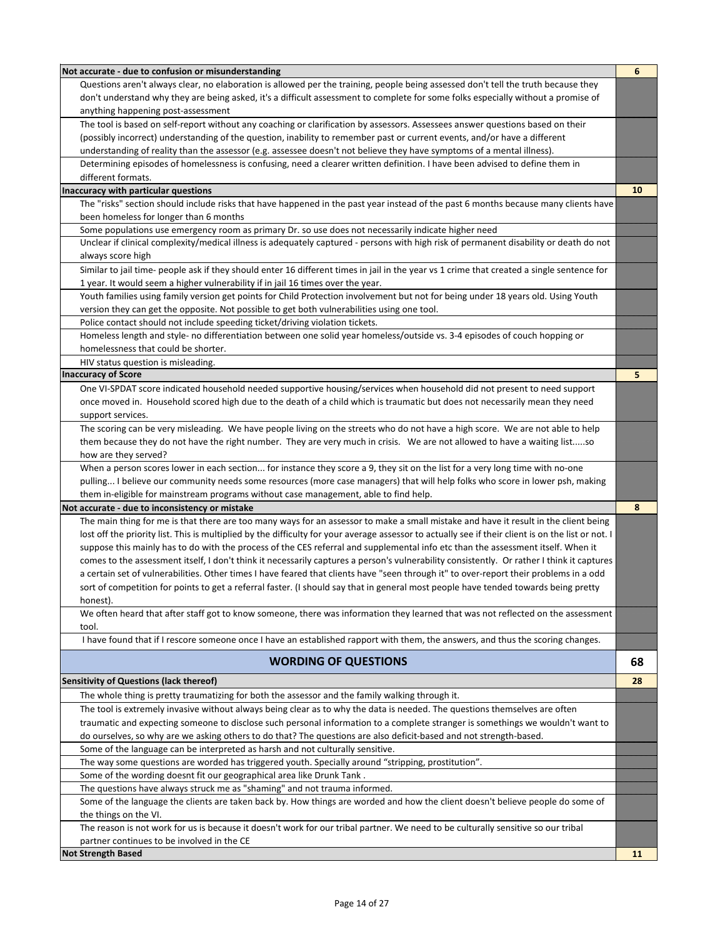| Not accurate - due to confusion or misunderstanding                                                                                                                                                  | 6  |
|------------------------------------------------------------------------------------------------------------------------------------------------------------------------------------------------------|----|
| Questions aren't always clear, no elaboration is allowed per the training, people being assessed don't tell the truth because they                                                                   |    |
| don't understand why they are being asked, it's a difficult assessment to complete for some folks especially without a promise of                                                                    |    |
| anything happening post-assessment                                                                                                                                                                   |    |
| The tool is based on self-report without any coaching or clarification by assessors. Assessees answer questions based on their                                                                       |    |
| (possibly incorrect) understanding of the question, inability to remember past or current events, and/or have a different                                                                            |    |
| understanding of reality than the assessor (e.g. assessee doesn't not believe they have symptoms of a mental illness).                                                                               |    |
| Determining episodes of homelessness is confusing, need a clearer written definition. I have been advised to define them in                                                                          |    |
| different formats.                                                                                                                                                                                   |    |
| Inaccuracy with particular questions                                                                                                                                                                 | 10 |
| The "risks" section should include risks that have happened in the past year instead of the past 6 months because many clients have                                                                  |    |
| been homeless for longer than 6 months                                                                                                                                                               |    |
| Some populations use emergency room as primary Dr. so use does not necessarily indicate higher need                                                                                                  |    |
| Unclear if clinical complexity/medical illness is adequately captured - persons with high risk of permanent disability or death do not                                                               |    |
| always score high                                                                                                                                                                                    |    |
| Similar to jail time- people ask if they should enter 16 different times in jail in the year vs 1 crime that created a single sentence for                                                           |    |
| 1 year. It would seem a higher vulnerability if in jail 16 times over the year.                                                                                                                      |    |
| Youth families using family version get points for Child Protection involvement but not for being under 18 years old. Using Youth                                                                    |    |
| version they can get the opposite. Not possible to get both vulnerabilities using one tool.                                                                                                          |    |
| Police contact should not include speeding ticket/driving violation tickets.                                                                                                                         |    |
| Homeless length and style- no differentiation between one solid year homeless/outside vs. 3-4 episodes of couch hopping or                                                                           |    |
| homelessness that could be shorter.                                                                                                                                                                  |    |
| HIV status question is misleading.<br><b>Inaccuracy of Score</b>                                                                                                                                     | 5  |
| One VI-SPDAT score indicated household needed supportive housing/services when household did not present to need support                                                                             |    |
| once moved in. Household scored high due to the death of a child which is traumatic but does not necessarily mean they need                                                                          |    |
| support services.                                                                                                                                                                                    |    |
| The scoring can be very misleading. We have people living on the streets who do not have a high score. We are not able to help                                                                       |    |
| them because they do not have the right number. They are very much in crisis. We are not allowed to have a waiting listso                                                                            |    |
| how are they served?                                                                                                                                                                                 |    |
| When a person scores lower in each section for instance they score a 9, they sit on the list for a very long time with no-one                                                                        |    |
| pulling I believe our community needs some resources (more case managers) that will help folks who score in lower psh, making                                                                        |    |
| them in-eligible for mainstream programs without case management, able to find help.                                                                                                                 |    |
| Not accurate - due to inconsistency or mistake                                                                                                                                                       | 8  |
| The main thing for me is that there are too many ways for an assessor to make a small mistake and have it result in the client being                                                                 |    |
| lost off the priority list. This is multiplied by the difficulty for your average assessor to actually see if their client is on the list or not. I                                                  |    |
| suppose this mainly has to do with the process of the CES referral and supplemental info etc than the assessment itself. When it                                                                     |    |
| comes to the assessment itself, I don't think it necessarily captures a person's vulnerability consistently. Or rather I think it captures                                                           |    |
| a certain set of vulnerabilities. Other times I have feared that clients have "seen through it" to over-report their problems in a odd                                                               |    |
| sort of competition for points to get a referral faster. (I should say that in general most people have tended towards being pretty                                                                  |    |
| honest).                                                                                                                                                                                             |    |
| We often heard that after staff got to know someone, there was information they learned that was not reflected on the assessment                                                                     |    |
| tool.                                                                                                                                                                                                |    |
| I have found that if I rescore someone once I have an established rapport with them, the answers, and thus the scoring changes.                                                                      |    |
| <b>WORDING OF QUESTIONS</b>                                                                                                                                                                          | 68 |
|                                                                                                                                                                                                      |    |
| <b>Sensitivity of Questions (lack thereof)</b>                                                                                                                                                       | 28 |
| The whole thing is pretty traumatizing for both the assessor and the family walking through it.                                                                                                      |    |
| The tool is extremely invasive without always being clear as to why the data is needed. The questions themselves are often                                                                           |    |
| traumatic and expecting someone to disclose such personal information to a complete stranger is somethings we wouldn't want to                                                                       |    |
| do ourselves, so why are we asking others to do that? The questions are also deficit-based and not strength-based.<br>Some of the language can be interpreted as harsh and not culturally sensitive. |    |
|                                                                                                                                                                                                      |    |
| The way some questions are worded has triggered youth. Specially around "stripping, prostitution".<br>Some of the wording doesnt fit our geographical area like Drunk Tank.                          |    |
| The questions have always struck me as "shaming" and not trauma informed.                                                                                                                            |    |
| Some of the language the clients are taken back by. How things are worded and how the client doesn't believe people do some of                                                                       |    |
| the things on the VI.                                                                                                                                                                                |    |
| The reason is not work for us is because it doesn't work for our tribal partner. We need to be culturally sensitive so our tribal                                                                    |    |
| partner continues to be involved in the CE                                                                                                                                                           |    |
| <b>Not Strength Based</b>                                                                                                                                                                            | 11 |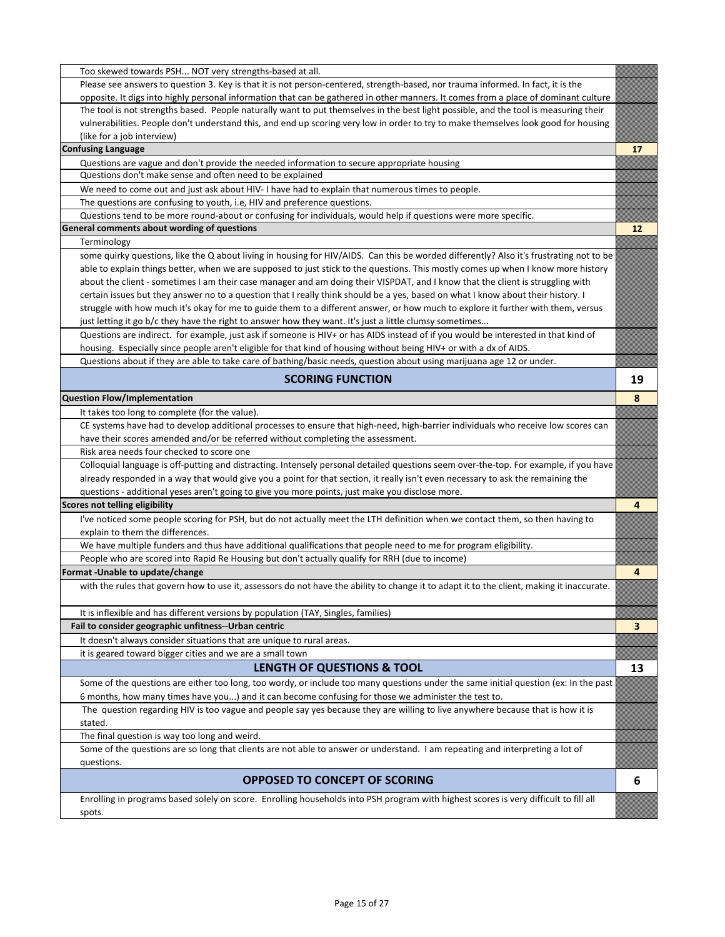| Too skewed towards PSH NOT very strengths-based at all.                                                                                                                                                              |    |
|----------------------------------------------------------------------------------------------------------------------------------------------------------------------------------------------------------------------|----|
| Please see answers to question 3. Key is that it is not person-centered, strength-based, nor trauma informed. In fact, it is the                                                                                     |    |
| opposite. It digs into highly personal information that can be gathered in other manners. It comes from a place of dominant culture                                                                                  |    |
| The tool is not strengths based. People naturally want to put themselves in the best light possible, and the tool is measuring their                                                                                 |    |
| vulnerabilities. People don't understand this, and end up scoring very low in order to try to make themselves look good for housing                                                                                  |    |
| (like for a job interview)                                                                                                                                                                                           |    |
| <b>Confusing Language</b>                                                                                                                                                                                            | 17 |
| Questions are vague and don't provide the needed information to secure appropriate housing                                                                                                                           |    |
| Questions don't make sense and often need to be explained                                                                                                                                                            |    |
| We need to come out and just ask about HIV-I have had to explain that numerous times to people.                                                                                                                      |    |
| The questions are confusing to youth, i.e, HIV and preference questions.                                                                                                                                             |    |
| Questions tend to be more round-about or confusing for individuals, would help if questions were more specific.                                                                                                      |    |
| General comments about wording of questions                                                                                                                                                                          | 12 |
| Terminology                                                                                                                                                                                                          |    |
| some quirky questions, like the Q about living in housing for HIV/AIDS. Can this be worded differently? Also it's frustrating not to be                                                                              |    |
| able to explain things better, when we are supposed to just stick to the questions. This mostly comes up when I know more history                                                                                    |    |
| about the client - sometimes I am their case manager and am doing their VISPDAT, and I know that the client is struggling with                                                                                       |    |
| certain issues but they answer no to a question that I really think should be a yes, based on what I know about their history. I                                                                                     |    |
| struggle with how much it's okay for me to guide them to a different answer, or how much to explore it further with them, versus                                                                                     |    |
| just letting it go b/c they have the right to answer how they want. It's just a little clumsy sometimes                                                                                                              |    |
| Questions are indirect. for example, just ask if someone is HIV+ or has AIDS instead of if you would be interested in that kind of                                                                                   |    |
| housing. Especially since people aren't eligible for that kind of housing without being HIV+ or with a dx of AIDS.                                                                                                   |    |
| Questions about if they are able to take care of bathing/basic needs, question about using marijuana age 12 or under.                                                                                                |    |
| <b>SCORING FUNCTION</b>                                                                                                                                                                                              | 19 |
| <b>Question Flow/Implementation</b>                                                                                                                                                                                  | 8  |
|                                                                                                                                                                                                                      |    |
| It takes too long to complete (for the value).                                                                                                                                                                       |    |
| CE systems have had to develop additional processes to ensure that high-need, high-barrier individuals who receive low scores can<br>have their scores amended and/or be referred without completing the assessment. |    |
| Risk area needs four checked to score one                                                                                                                                                                            |    |
| Colloquial language is off-putting and distracting. Intensely personal detailed questions seem over-the-top. For example, if you have                                                                                |    |
| already responded in a way that would give you a point for that section, it really isn't even necessary to ask the remaining the                                                                                     |    |
| questions - additional yeses aren't going to give you more points, just make you disclose more.                                                                                                                      |    |
| Scores not telling eligibility                                                                                                                                                                                       | 4  |
| I've noticed some people scoring for PSH, but do not actually meet the LTH definition when we contact them, so then having to                                                                                        |    |
| explain to them the differences.                                                                                                                                                                                     |    |
| We have multiple funders and thus have additional qualifications that people need to me for program eligibility.                                                                                                     |    |
| People who are scored into Rapid Re Housing but don't actually qualify for RRH (due to income)                                                                                                                       |    |
| Format -Unable to update/change                                                                                                                                                                                      | 4  |
| with the rules that govern how to use it, assessors do not have the ability to change it to adapt it to the client, making it inaccurate                                                                             |    |
|                                                                                                                                                                                                                      |    |
| It is inflexible and has different versions by population (TAY, Singles, families)                                                                                                                                   |    |
| Fail to consider geographic unfitness--Urban centric                                                                                                                                                                 | 3  |
| It doesn't always consider situations that are unique to rural areas.                                                                                                                                                |    |
| it is geared toward bigger cities and we are a small town                                                                                                                                                            |    |
| LENGTH OF QUESTIONS & TOOL                                                                                                                                                                                           | 13 |
| Some of the questions are either too long, too wordy, or include too many questions under the same initial question (ex: In the past                                                                                 |    |
| 6 months, how many times have you) and it can become confusing for those we administer the test to.                                                                                                                  |    |
| The question regarding HIV is too vague and people say yes because they are willing to live anywhere because that is how it is                                                                                       |    |
| stated.                                                                                                                                                                                                              |    |
| The final question is way too long and weird.                                                                                                                                                                        |    |
| Some of the questions are so long that clients are not able to answer or understand. I am repeating and interpreting a lot of                                                                                        |    |
| questions.                                                                                                                                                                                                           |    |
| <b>OPPOSED TO CONCEPT OF SCORING</b>                                                                                                                                                                                 | 6  |
|                                                                                                                                                                                                                      |    |
|                                                                                                                                                                                                                      |    |
| Enrolling in programs based solely on score. Enrolling households into PSH program with highest scores is very difficult to fill all<br>spots.                                                                       |    |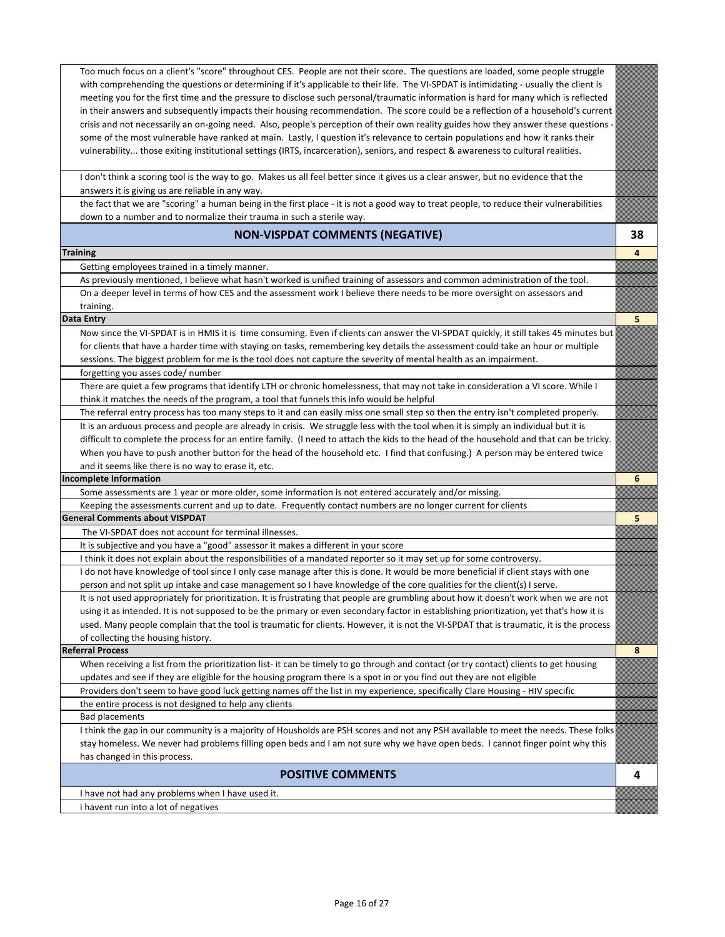Too much focus on a client's "score" throughout CES. People are not their score. The questions are loaded, some people struggle with comprehending the questions or determining if it's applicable to their life. The VI-SPDAT is intimidating - usually the client is meeting you for the first time and the pressure to disclose such personal/traumatic information is hard for many which is reflected in their answers and subsequently impacts their housing recommendation. The score could be a reflection of a household's current crisis and not necessarily an on-going need. Also, people's perception of their own reality guides how they answer these questions some of the most vulnerable have ranked at main. Lastly, I question it's relevance to certain populations and how it ranks their vulnerability... those exiting institutional settings (IRTS, incarceration), seniors, and respect & awareness to cultural realities. I don't think a scoring tool is the way to go. Makes us all feel better since it gives us a clear answer, but no evidence that the answers it is giving us are reliable in any way. the fact that we are "scoring" a human being in the first place - it is not a good way to treat people, to reduce their vulnerabilities down to a number and to normalize their trauma in such a sterile way. **NON-VISPDAT COMMENTS (NEGATIVE) 38 Training 4** Getting employees trained in a timely manner. As previously mentioned, I believe what hasn't worked is unified training of assessors and common administration of the tool. On a deeper level in terms of how CES and the assessment work I believe there needs to be more oversight on assessors and training. **Data Entry 5** Now since the VI-SPDAT is in HMIS it is time consuming. Even if clients can answer the VI-SPDAT quickly, it still takes 45 minutes but for clients that have a harder time with staying on tasks, remembering key details the assessment could take an hour or multiple sessions. The biggest problem for me is the tool does not capture the severity of mental health as an impairment. forgetting you asses code/ number There are quiet a few programs that identify LTH or chronic homelessness, that may not take in consideration a VI score. While I think it matches the needs of the program, a tool that funnels this info would be helpful The referral entry process has too many steps to it and can easily miss one small step so then the entry isn't completed properly. It is an arduous process and people are already in crisis. We struggle less with the tool when it is simply an individual but it is difficult to complete the process for an entire family. (I need to attach the kids to the head of the household and that can be tricky. When you have to push another button for the head of the household etc. I find that confusing.) A person may be entered twice and it seems like there is no way to erase it, etc. **Incomplete Information 6** Some assessments are 1 year or more older, some information is not entered accurately and/or missing. Keeping the assessments current and up to date. Frequently contact numbers are no longer current for clients **General Comments about VISPDAT 5** The VI-SPDAT does not account for terminal illnesses. It is subjective and you have a "good" assessor it makes a different in your score I think it does not explain about the responsibilities of a mandated reporter so it may set up for some controversy. I do not have knowledge of tool since I only case manage after this is done. It would be more beneficial if client stays with one person and not split up intake and case management so I have knowledge of the core qualities for the client(s) I serve. It is not used appropriately for prioritization. It is frustrating that people are grumbling about how it doesn't work when we are not using it as intended. It is not supposed to be the primary or even secondary factor in establishing prioritization, yet that's how it is used. Many people complain that the tool is traumatic for clients. However, it is not the VI-SPDAT that is traumatic, it is the process of collecting the housing history. **Referral Process 8** When receiving a list from the prioritization list- it can be timely to go through and contact (or try contact) clients to get housing updates and see if they are eligible for the housing program there is a spot in or you find out they are not eligible Providers don't seem to have good luck getting names off the list in my experience, specifically Clare Housing - HIV specific the entire process is not designed to help any clients Bad placements I think the gap in our community is a majority of Housholds are PSH scores and not any PSH available to meet the needs. These folks stay homeless. We never had problems filling open beds and I am not sure why we have open beds. I cannot finger point why this has changed in this process. **POSITIVE COMMENTS 4** I have not had any problems when I have used it. i havent run into a lot of negatives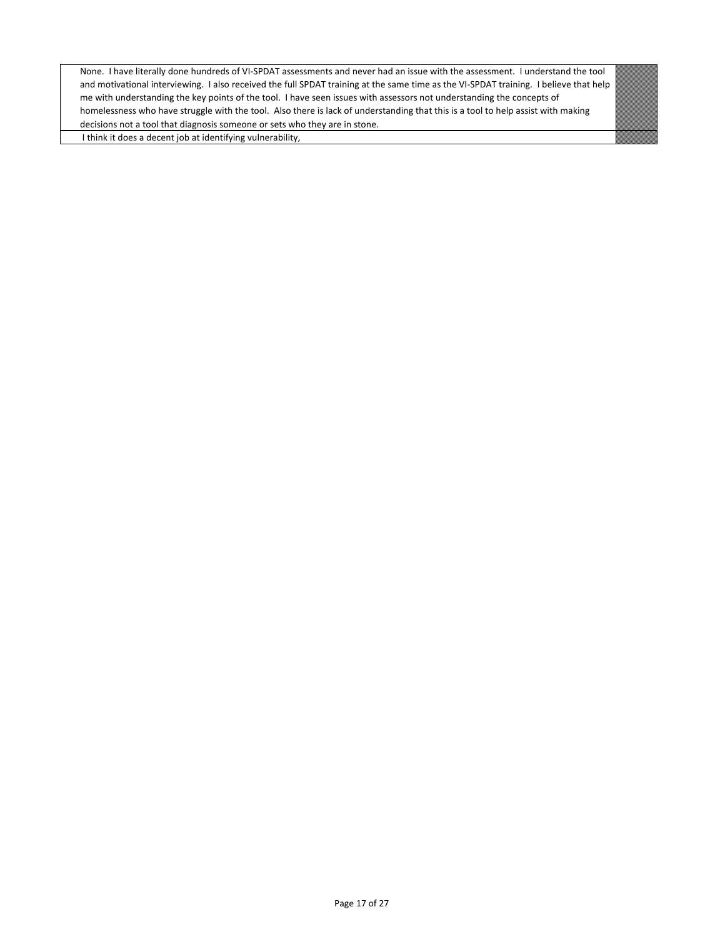None. I have literally done hundreds of VI-SPDAT assessments and never had an issue with the assessment. I understand the tool and motivational interviewing. I also received the full SPDAT training at the same time as the VI-SPDAT training. I believe that help me with understanding the key points of the tool. I have seen issues with assessors not understanding the concepts of homelessness who have struggle with the tool. Also there is lack of understanding that this is a tool to help assist with making decisions not a tool that diagnosis someone or sets who they are in stone.

I think it does a decent job at identifying vulnerability,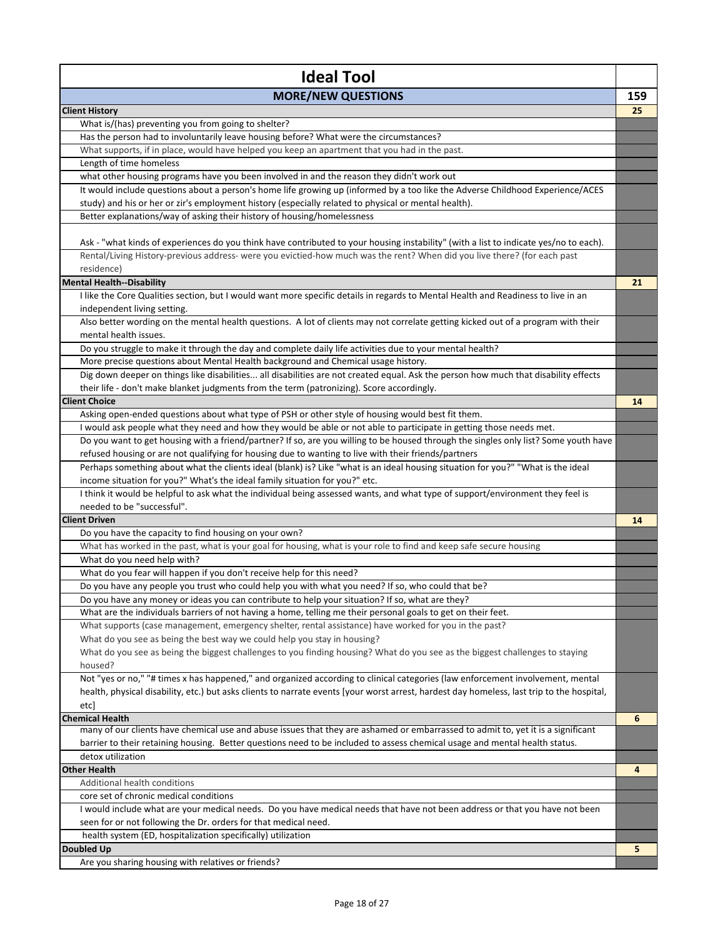| <b>Ideal Tool</b>                                                                                                                                                |     |
|------------------------------------------------------------------------------------------------------------------------------------------------------------------|-----|
| <b>MORE/NEW QUESTIONS</b>                                                                                                                                        | 159 |
| <b>Client History</b>                                                                                                                                            | 25  |
| What is/(has) preventing you from going to shelter?                                                                                                              |     |
| Has the person had to involuntarily leave housing before? What were the circumstances?                                                                           |     |
| What supports, if in place, would have helped you keep an apartment that you had in the past.                                                                    |     |
| Length of time homeless                                                                                                                                          |     |
| what other housing programs have you been involved in and the reason they didn't work out                                                                        |     |
| It would include questions about a person's home life growing up (informed by a too like the Adverse Childhood Experience/ACES                                   |     |
| study) and his or her or zir's employment history (especially related to physical or mental health).                                                             |     |
| Better explanations/way of asking their history of housing/homelessness                                                                                          |     |
|                                                                                                                                                                  |     |
| Ask - "what kinds of experiences do you think have contributed to your housing instability" (with a list to indicate yes/no to each).                            |     |
| Rental/Living History-previous address- were you evictied-how much was the rent? When did you live there? (for each past                                         |     |
| residence)                                                                                                                                                       |     |
| <b>Mental Health--Disability</b>                                                                                                                                 | 21  |
| I like the Core Qualities section, but I would want more specific details in regards to Mental Health and Readiness to live in an                                |     |
| independent living setting.<br>Also better wording on the mental health questions. A lot of clients may not correlate getting kicked out of a program with their |     |
| mental health issues.                                                                                                                                            |     |
| Do you struggle to make it through the day and complete daily life activities due to your mental health?                                                         |     |
| More precise questions about Mental Health background and Chemical usage history.                                                                                |     |
| Dig down deeper on things like disabilities all disabilities are not created equal. Ask the person how much that disability effects                              |     |
| their life - don't make blanket judgments from the term (patronizing). Score accordingly.                                                                        |     |
| <b>Client Choice</b>                                                                                                                                             | 14  |
| Asking open-ended questions about what type of PSH or other style of housing would best fit them.                                                                |     |
| I would ask people what they need and how they would be able or not able to participate in getting those needs met.                                              |     |
| Do you want to get housing with a friend/partner? If so, are you willing to be housed through the singles only list? Some youth have                             |     |
| refused housing or are not qualifying for housing due to wanting to live with their friends/partners                                                             |     |
| Perhaps something about what the clients ideal (blank) is? Like "what is an ideal housing situation for you?" "What is the ideal                                 |     |
| income situation for you?" What's the ideal family situation for you?" etc.                                                                                      |     |
| I think it would be helpful to ask what the individual being assessed wants, and what type of support/environment they feel is                                   |     |
| needed to be "successful".                                                                                                                                       |     |
| <b>Client Driven</b>                                                                                                                                             | 14  |
| Do you have the capacity to find housing on your own?                                                                                                            |     |
| What has worked in the past, what is your goal for housing, what is your role to find and keep safe secure housing                                               |     |
| What do you need help with?                                                                                                                                      |     |
| What do you fear will happen if you don't receive help for this need?                                                                                            |     |
| Do you have any people you trust who could help you with what you need? If so, who could that be?                                                                |     |
| Do you have any money or ideas you can contribute to help your situation? If so, what are they?                                                                  |     |
| What are the individuals barriers of not having a home, telling me their personal goals to get on their feet.                                                    |     |
| What supports (case management, emergency shelter, rental assistance) have worked for you in the past?                                                           |     |
| What do you see as being the best way we could help you stay in housing?                                                                                         |     |
| What do you see as being the biggest challenges to you finding housing? What do you see as the biggest challenges to staying                                     |     |
| housed?                                                                                                                                                          |     |
| Not "yes or no," "# times x has happened," and organized according to clinical categories (law enforcement involvement, mental                                   |     |
| health, physical disability, etc.) but asks clients to narrate events [your worst arrest, hardest day homeless, last trip to the hospital,                       |     |
| etc]                                                                                                                                                             |     |
| <b>Chemical Health</b>                                                                                                                                           | 6   |
| many of our clients have chemical use and abuse issues that they are ashamed or embarrassed to admit to, yet it is a significant                                 |     |
| barrier to their retaining housing. Better questions need to be included to assess chemical usage and mental health status.                                      |     |
| detox utilization                                                                                                                                                |     |
| <b>Other Health</b>                                                                                                                                              | 4   |
| Additional health conditions                                                                                                                                     |     |
| core set of chronic medical conditions                                                                                                                           |     |
| I would include what are your medical needs. Do you have medical needs that have not been address or that you have not been                                      |     |
| seen for or not following the Dr. orders for that medical need.                                                                                                  |     |
| health system (ED, hospitalization specifically) utilization                                                                                                     |     |
| Doubled Up                                                                                                                                                       | 5   |
| Are you sharing housing with relatives or friends?                                                                                                               |     |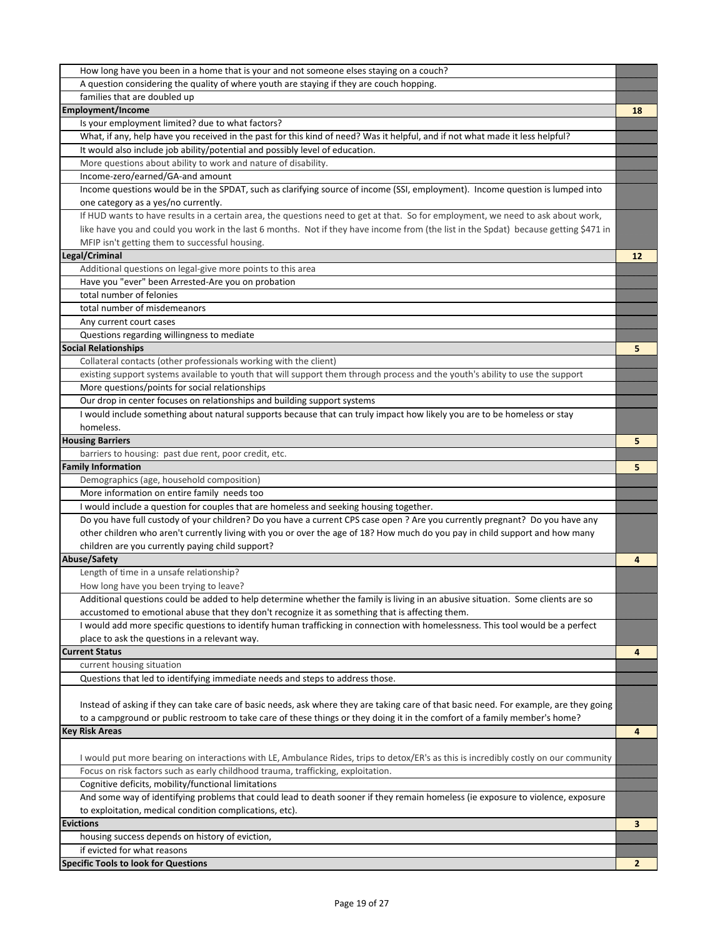| How long have you been in a home that is your and not someone elses staying on a couch?                                                |    |
|----------------------------------------------------------------------------------------------------------------------------------------|----|
| A question considering the quality of where youth are staying if they are couch hopping.                                               |    |
| families that are doubled up                                                                                                           |    |
| <b>Employment/Income</b>                                                                                                               | 18 |
| Is your employment limited? due to what factors?                                                                                       |    |
| What, if any, help have you received in the past for this kind of need? Was it helpful, and if not what made it less helpful?          |    |
| It would also include job ability/potential and possibly level of education.                                                           |    |
| More questions about ability to work and nature of disability.                                                                         |    |
| Income-zero/earned/GA-and amount                                                                                                       |    |
| Income questions would be in the SPDAT, such as clarifying source of income (SSI, employment). Income question is lumped into          |    |
| one category as a yes/no currently.                                                                                                    |    |
| If HUD wants to have results in a certain area, the questions need to get at that. So for employment, we need to ask about work,       |    |
| like have you and could you work in the last 6 months. Not if they have income from (the list in the Spdat) because getting \$471 in   |    |
| MFIP isn't getting them to successful housing.                                                                                         |    |
| Legal/Criminal                                                                                                                         | 12 |
| Additional questions on legal-give more points to this area                                                                            |    |
| Have you "ever" been Arrested-Are you on probation                                                                                     |    |
| total number of felonies                                                                                                               |    |
| total number of misdemeanors                                                                                                           |    |
| Any current court cases                                                                                                                |    |
| Questions regarding willingness to mediate                                                                                             |    |
| <b>Social Relationships</b>                                                                                                            | 5  |
| Collateral contacts (other professionals working with the client)                                                                      |    |
| existing support systems available to youth that will support them through process and the youth's ability to use the support          |    |
| More questions/points for social relationships                                                                                         |    |
| Our drop in center focuses on relationships and building support systems                                                               |    |
| I would include something about natural supports because that can truly impact how likely you are to be homeless or stay               |    |
| homeless.                                                                                                                              |    |
| <b>Housing Barriers</b>                                                                                                                | 5  |
| barriers to housing: past due rent, poor credit, etc.                                                                                  |    |
| <b>Family Information</b>                                                                                                              | 5  |
| Demographics (age, household composition)                                                                                              |    |
| More information on entire family needs too                                                                                            |    |
| I would include a question for couples that are homeless and seeking housing together.                                                 |    |
| Do you have full custody of your children? Do you have a current CPS case open ? Are you currently pregnant? Do you have any           |    |
| other children who aren't currently living with you or over the age of 18? How much do you pay in child support and how many           |    |
| children are you currently paying child support?                                                                                       |    |
| Abuse/Safety                                                                                                                           | 4  |
| Length of time in a unsafe relationship?                                                                                               |    |
| How long have you been trying to leave?                                                                                                |    |
| Additional questions could be added to help determine whether the family is living in an abusive situation. Some clients are so        |    |
| accustomed to emotional abuse that they don't recognize it as something that is affecting them.                                        |    |
| I would add more specific questions to identify human trafficking in connection with homelessness. This tool would be a perfect        |    |
| place to ask the questions in a relevant way.                                                                                          |    |
| <b>Current Status</b>                                                                                                                  | 4  |
| current housing situation                                                                                                              |    |
| Questions that led to identifying immediate needs and steps to address those.                                                          |    |
|                                                                                                                                        |    |
| Instead of asking if they can take care of basic needs, ask where they are taking care of that basic need. For example, are they going |    |
| to a campground or public restroom to take care of these things or they doing it in the comfort of a family member's home?             |    |
| <b>Key Risk Areas</b>                                                                                                                  | 4  |
|                                                                                                                                        |    |
| I would put more bearing on interactions with LE, Ambulance Rides, trips to detox/ER's as this is incredibly costly on our community   |    |
| Focus on risk factors such as early childhood trauma, trafficking, exploitation.                                                       |    |
| Cognitive deficits, mobility/functional limitations                                                                                    |    |
| And some way of identifying problems that could lead to death sooner if they remain homeless (ie exposure to violence, exposure        |    |
| to exploitation, medical condition complications, etc).                                                                                |    |
|                                                                                                                                        |    |
| Evictions                                                                                                                              | 3  |
| housing success depends on history of eviction,                                                                                        |    |
| if evicted for what reasons<br><b>Specific Tools to look for Questions</b>                                                             |    |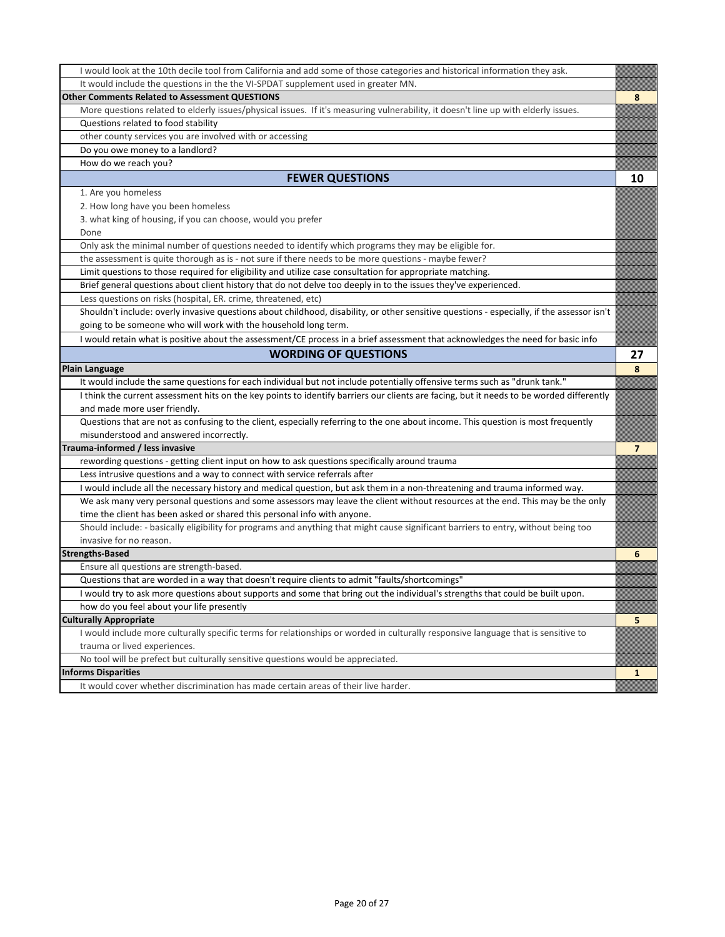| I would look at the 10th decile tool from California and add some of those categories and historical information they ask.                 |                |
|--------------------------------------------------------------------------------------------------------------------------------------------|----------------|
| It would include the questions in the the VI-SPDAT supplement used in greater MN.                                                          |                |
| <b>Other Comments Related to Assessment QUESTIONS</b>                                                                                      | 8              |
| More questions related to elderly issues/physical issues. If it's measuring vulnerability, it doesn't line up with elderly issues.         |                |
| Questions related to food stability                                                                                                        |                |
| other county services you are involved with or accessing                                                                                   |                |
| Do you owe money to a landlord?                                                                                                            |                |
| How do we reach you?                                                                                                                       |                |
| <b>FEWER QUESTIONS</b>                                                                                                                     | 10             |
| 1. Are you homeless                                                                                                                        |                |
| 2. How long have you been homeless                                                                                                         |                |
| 3. what king of housing, if you can choose, would you prefer                                                                               |                |
| Done                                                                                                                                       |                |
| Only ask the minimal number of questions needed to identify which programs they may be eligible for.                                       |                |
| the assessment is quite thorough as is - not sure if there needs to be more questions - maybe fewer?                                       |                |
| Limit questions to those required for eligibility and utilize case consultation for appropriate matching.                                  |                |
| Brief general questions about client history that do not delve too deeply in to the issues they've experienced.                            |                |
| Less questions on risks (hospital, ER. crime, threatened, etc)                                                                             |                |
| Shouldn't include: overly invasive questions about childhood, disability, or other sensitive questions - especially, if the assessor isn't |                |
| going to be someone who will work with the household long term.                                                                            |                |
| I would retain what is positive about the assessment/CE process in a brief assessment that acknowledges the need for basic info            |                |
| <b>WORDING OF QUESTIONS</b>                                                                                                                | 27             |
| <b>Plain Language</b>                                                                                                                      | 8              |
| It would include the same questions for each individual but not include potentially offensive terms such as "drunk tank."                  |                |
| I think the current assessment hits on the key points to identify barriers our clients are facing, but it needs to be worded differently   |                |
| and made more user friendly.                                                                                                               |                |
| Questions that are not as confusing to the client, especially referring to the one about income. This question is most frequently          |                |
| misunderstood and answered incorrectly.                                                                                                    |                |
| Trauma-informed / less invasive                                                                                                            | $\overline{7}$ |
| rewording questions - getting client input on how to ask questions specifically around trauma                                              |                |
| Less intrusive questions and a way to connect with service referrals after                                                                 |                |
| I would include all the necessary history and medical question, but ask them in a non-threatening and trauma informed way.                 |                |
| We ask many very personal questions and some assessors may leave the client without resources at the end. This may be the only             |                |
| time the client has been asked or shared this personal info with anyone.                                                                   |                |
| Should include: - basically eligibility for programs and anything that might cause significant barriers to entry, without being too        |                |
| invasive for no reason.                                                                                                                    |                |
| <b>Strengths-Based</b>                                                                                                                     | 6              |
| Ensure all questions are strength-based.                                                                                                   |                |
| Questions that are worded in a way that doesn't require clients to admit "faults/shortcomings"                                             |                |
| I would try to ask more questions about supports and some that bring out the individual's strengths that could be built upon.              |                |
| how do you feel about your life presently                                                                                                  |                |
| <b>Culturally Appropriate</b>                                                                                                              | 5              |
| I would include more culturally specific terms for relationships or worded in culturally responsive language that is sensitive to          |                |
| trauma or lived experiences.                                                                                                               |                |
| No tool will be prefect but culturally sensitive questions would be appreciated.                                                           |                |
| <b>Informs Disparities</b>                                                                                                                 | 1              |
| It would cover whether discrimination has made certain areas of their live harder.                                                         |                |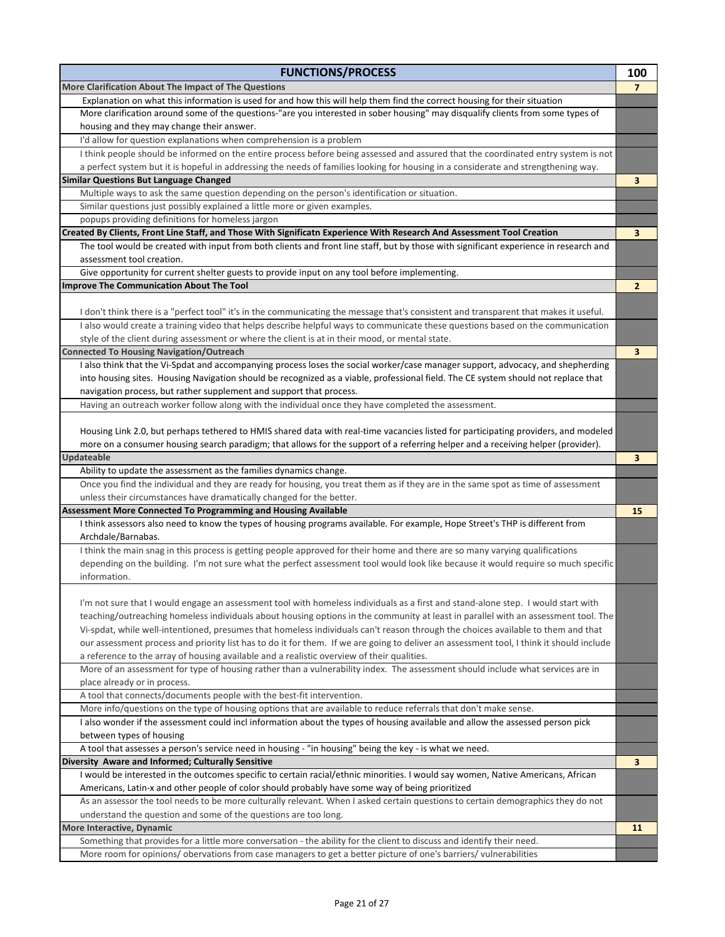| <b>FUNCTIONS/PROCESS</b>                                                                                                                                           | 100                     |
|--------------------------------------------------------------------------------------------------------------------------------------------------------------------|-------------------------|
| More Clarification About The Impact of The Questions                                                                                                               | 7                       |
| Explanation on what this information is used for and how this will help them find the correct housing for their situation                                          |                         |
| More clarification around some of the questions-"are you interested in sober housing" may disqualify clients from some types of                                    |                         |
| housing and they may change their answer.                                                                                                                          |                         |
| I'd allow for question explanations when comprehension is a problem                                                                                                |                         |
| I think people should be informed on the entire process before being assessed and assured that the coordinated entry system is not                                 |                         |
| a perfect system but it is hopeful in addressing the needs of families looking for housing in a considerate and strengthening way.                                 |                         |
| <b>Similar Questions But Language Changed</b>                                                                                                                      | 3                       |
| Multiple ways to ask the same question depending on the person's identification or situation.                                                                      |                         |
| Similar questions just possibly explained a little more or given examples.                                                                                         |                         |
| popups providing definitions for homeless jargon                                                                                                                   |                         |
| Created By Clients, Front Line Staff, and Those With Significatn Experience With Research And Assessment Tool Creation                                             | 3                       |
| The tool would be created with input from both clients and front line staff, but by those with significant experience in research and<br>assessment tool creation. |                         |
| Give opportunity for current shelter guests to provide input on any tool before implementing.                                                                      |                         |
| Improve The Communication About The Tool                                                                                                                           | 2                       |
|                                                                                                                                                                    |                         |
| I don't think there is a "perfect tool" it's in the communicating the message that's consistent and transparent that makes it useful.                              |                         |
| I also would create a training video that helps describe helpful ways to communicate these questions based on the communication                                    |                         |
| style of the client during assessment or where the client is at in their mood, or mental state.                                                                    |                         |
| <b>Connected To Housing Navigation/Outreach</b>                                                                                                                    | $\overline{\mathbf{3}}$ |
| I also think that the Vi-Spdat and accompanying process loses the social worker/case manager support, advocacy, and shepherding                                    |                         |
| into housing sites. Housing Navigation should be recognized as a viable, professional field. The CE system should not replace that                                 |                         |
| navigation process, but rather supplement and support that process.                                                                                                |                         |
| Having an outreach worker follow along with the individual once they have completed the assessment.                                                                |                         |
|                                                                                                                                                                    |                         |
| Housing Link 2.0, but perhaps tethered to HMIS shared data with real-time vacancies listed for participating providers, and modeled                                |                         |
| more on a consumer housing search paradigm; that allows for the support of a referring helper and a receiving helper (provider).                                   |                         |
| <b>Updateable</b>                                                                                                                                                  | 3                       |
| Ability to update the assessment as the families dynamics change.                                                                                                  |                         |
| Once you find the individual and they are ready for housing, you treat them as if they are in the same spot as time of assessment                                  |                         |
| unless their circumstances have dramatically changed for the better.                                                                                               |                         |
| Assessment More Connected To Programming and Housing Available                                                                                                     | 15                      |
| I think assessors also need to know the types of housing programs available. For example, Hope Street's THP is different from                                      |                         |
| Archdale/Barnabas.                                                                                                                                                 |                         |
| I think the main snag in this process is getting people approved for their home and there are so many varying qualifications                                       |                         |
| depending on the building. I'm not sure what the perfect assessment tool would look like because it would require so much specific                                 |                         |
| information.                                                                                                                                                       |                         |
|                                                                                                                                                                    |                         |
| I'm not sure that I would engage an assessment tool with homeless individuals as a first and stand-alone step. I would start with                                  |                         |
| teaching/outreaching homeless individuals about housing options in the community at least in parallel with an assessment tool. The                                 |                         |
| Vi-spdat, while well-intentioned, presumes that homeless individuals can't reason through the choices available to them and that                                   |                         |
| our assessment process and priority list has to do it for them. If we are going to deliver an assessment tool, I think it should include                           |                         |
| a reference to the array of housing available and a realistic overview of their qualities.                                                                         |                         |
| More of an assessment for type of housing rather than a vulnerability index. The assessment should include what services are in                                    |                         |
| place already or in process.                                                                                                                                       |                         |
| A tool that connects/documents people with the best-fit intervention.                                                                                              |                         |
| More info/questions on the type of housing options that are available to reduce referrals that don't make sense.                                                   |                         |
| I also wonder if the assessment could incl information about the types of housing available and allow the assessed person pick                                     |                         |
| between types of housing                                                                                                                                           |                         |
| A tool that assesses a person's service need in housing - "in housing" being the key - is what we need.                                                            |                         |
| Diversity Aware and Informed; Culturally Sensitive                                                                                                                 | 3                       |
| I would be interested in the outcomes specific to certain racial/ethnic minorities. I would say women, Native Americans, African                                   |                         |
| Americans, Latin-x and other people of color should probably have some way of being prioritized                                                                    |                         |
| As an assessor the tool needs to be more culturally relevant. When I asked certain questions to certain demographics they do not                                   |                         |
| understand the question and some of the questions are too long.                                                                                                    |                         |
| More Interactive, Dynamic                                                                                                                                          | 11                      |
| Something that provides for a little more conversation - the ability for the client to discuss and identify their need.                                            |                         |
| More room for opinions/ obervations from case managers to get a better picture of one's barriers/ vulnerabilities                                                  |                         |
|                                                                                                                                                                    |                         |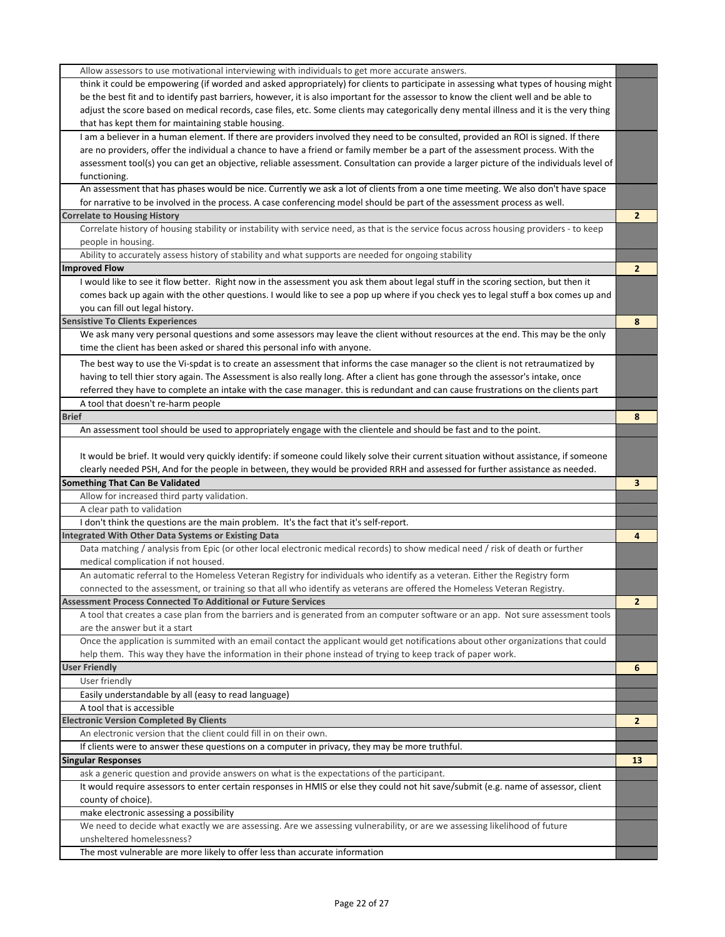| Allow assessors to use motivational interviewing with individuals to get more accurate answers.                                                                      |                |
|----------------------------------------------------------------------------------------------------------------------------------------------------------------------|----------------|
| think it could be empowering (if worded and asked appropriately) for clients to participate in assessing what types of housing might                                 |                |
| be the best fit and to identify past barriers, however, it is also important for the assessor to know the client well and be able to                                 |                |
| adjust the score based on medical records, case files, etc. Some clients may categorically deny mental illness and it is the very thing                              |                |
| that has kept them for maintaining stable housing.                                                                                                                   |                |
| I am a believer in a human element. If there are providers involved they need to be consulted, provided an ROI is signed. If there                                   |                |
| are no providers, offer the individual a chance to have a friend or family member be a part of the assessment process. With the                                      |                |
| assessment tool(s) you can get an objective, reliable assessment. Consultation can provide a larger picture of the individuals level of                              |                |
| functioning.                                                                                                                                                         |                |
| An assessment that has phases would be nice. Currently we ask a lot of clients from a one time meeting. We also don't have space                                     |                |
| for narrative to be involved in the process. A case conferencing model should be part of the assessment process as well.                                             |                |
| <b>Correlate to Housing History</b>                                                                                                                                  | $\overline{2}$ |
| Correlate history of housing stability or instability with service need, as that is the service focus across housing providers - to keep                             |                |
| people in housing.                                                                                                                                                   |                |
| Ability to accurately assess history of stability and what supports are needed for ongoing stability                                                                 |                |
| <b>Improved Flow</b>                                                                                                                                                 | $\mathbf{2}$   |
| I would like to see it flow better. Right now in the assessment you ask them about legal stuff in the scoring section, but then it                                   |                |
| comes back up again with the other questions. I would like to see a pop up where if you check yes to legal stuff a box comes up and                                  |                |
| you can fill out legal history.                                                                                                                                      |                |
| <b>Sensistive To Clients Experiences</b>                                                                                                                             | 8              |
| We ask many very personal questions and some assessors may leave the client without resources at the end. This may be the only                                       |                |
| time the client has been asked or shared this personal info with anyone.                                                                                             |                |
|                                                                                                                                                                      |                |
| The best way to use the Vi-spdat is to create an assessment that informs the case manager so the client is not retraumatized by                                      |                |
| having to tell thier story again. The Assessment is also really long. After a client has gone through the assessor's intake, once                                    |                |
| referred they have to complete an intake with the case manager. this is redundant and can cause frustrations on the clients part                                     |                |
| A tool that doesn't re-harm people                                                                                                                                   |                |
| <b>Brief</b>                                                                                                                                                         | 8              |
| An assessment tool should be used to appropriately engage with the clientele and should be fast and to the point.                                                    |                |
|                                                                                                                                                                      |                |
| It would be brief. It would very quickly identify: if someone could likely solve their current situation without assistance, if someone                              |                |
| clearly needed PSH, And for the people in between, they would be provided RRH and assessed for further assistance as needed.                                         |                |
| <b>Something That Can Be Validated</b>                                                                                                                               | 3              |
| Allow for increased third party validation.                                                                                                                          |                |
| A clear path to validation                                                                                                                                           |                |
| I don't think the questions are the main problem. It's the fact that it's self-report.                                                                               |                |
| Integrated With Other Data Systems or Existing Data                                                                                                                  | 4              |
| Data matching / analysis from Epic (or other local electronic medical records) to show medical need / risk of death or further                                       |                |
| medical complication if not housed.                                                                                                                                  |                |
| An automatic referral to the Homeless Veteran Registry for individuals who identify as a veteran. Either the Registry form                                           |                |
| connected to the assessment, or training so that all who identify as veterans are offered the Homeless Veteran Registry.                                             |                |
| <b>Assessment Process Connected To Additional or Future Services</b>                                                                                                 | $\overline{2}$ |
| A tool that creates a case plan from the barriers and is generated from an computer software or an app. Not sure assessment tools                                    |                |
| are the answer but it a start                                                                                                                                        |                |
| Once the application is summited with an email contact the applicant would get notifications about other organizations that could                                    |                |
| help them. This way they have the information in their phone instead of trying to keep track of paper work.                                                          |                |
| <b>User Friendly</b>                                                                                                                                                 | 6              |
| User friendly                                                                                                                                                        |                |
| Easily understandable by all (easy to read language)                                                                                                                 |                |
| A tool that is accessible                                                                                                                                            |                |
| <b>Electronic Version Completed By Clients</b>                                                                                                                       | $\mathbf{2}$   |
| An electronic version that the client could fill in on their own.                                                                                                    |                |
| If clients were to answer these questions on a computer in privacy, they may be more truthful.                                                                       |                |
| <b>Singular Responses</b>                                                                                                                                            | 13             |
| ask a generic question and provide answers on what is the expectations of the participant.                                                                           |                |
| It would require assessors to enter certain responses in HMIS or else they could not hit save/submit (e.g. name of assessor, client                                  |                |
| county of choice).                                                                                                                                                   |                |
|                                                                                                                                                                      |                |
| make electronic assessing a possibility<br>We need to decide what exactly we are assessing. Are we assessing vulnerability, or are we assessing likelihood of future |                |
|                                                                                                                                                                      |                |
| unsheltered homelessness?                                                                                                                                            |                |
| The most vulnerable are more likely to offer less than accurate information                                                                                          |                |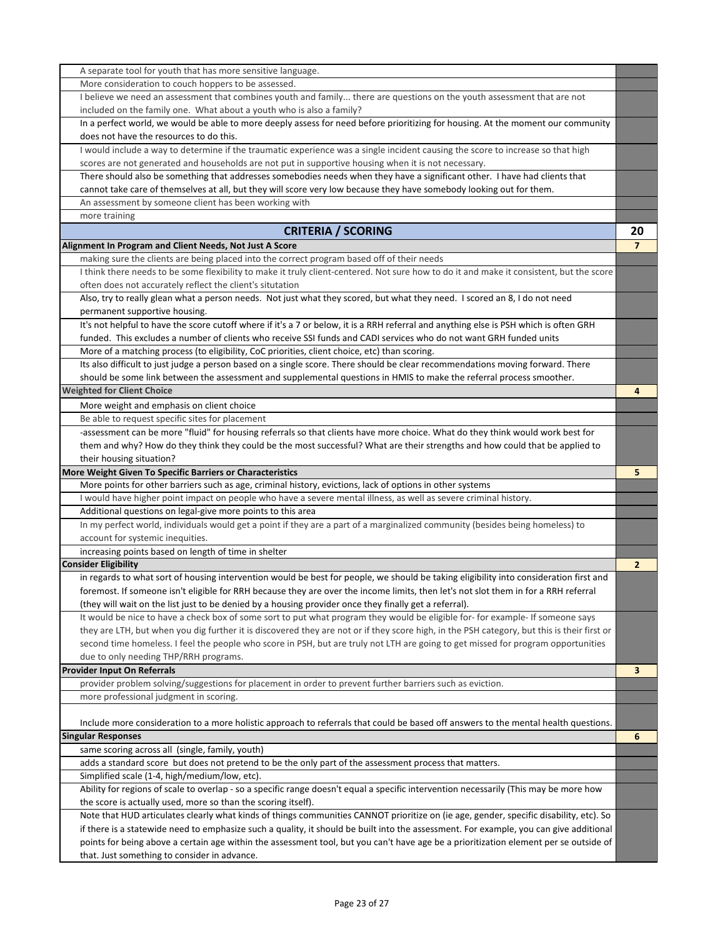| A separate tool for youth that has more sensitive language.                                                                                                                                                                                                                      |                |
|----------------------------------------------------------------------------------------------------------------------------------------------------------------------------------------------------------------------------------------------------------------------------------|----------------|
| More consideration to couch hoppers to be assessed.                                                                                                                                                                                                                              |                |
| I believe we need an assessment that combines youth and family there are questions on the youth assessment that are not                                                                                                                                                          |                |
| included on the family one. What about a youth who is also a family?                                                                                                                                                                                                             |                |
| In a perfect world, we would be able to more deeply assess for need before prioritizing for housing. At the moment our community                                                                                                                                                 |                |
| does not have the resources to do this.                                                                                                                                                                                                                                          |                |
| I would include a way to determine if the traumatic experience was a single incident causing the score to increase so that high                                                                                                                                                  |                |
| scores are not generated and households are not put in supportive housing when it is not necessary.                                                                                                                                                                              |                |
| There should also be something that addresses somebodies needs when they have a significant other. I have had clients that                                                                                                                                                       |                |
| cannot take care of themselves at all, but they will score very low because they have somebody looking out for them.                                                                                                                                                             |                |
| An assessment by someone client has been working with                                                                                                                                                                                                                            |                |
| more training                                                                                                                                                                                                                                                                    |                |
| <b>CRITERIA / SCORING</b>                                                                                                                                                                                                                                                        | 20             |
| Alignment In Program and Client Needs, Not Just A Score                                                                                                                                                                                                                          | $\overline{7}$ |
| making sure the clients are being placed into the correct program based off of their needs                                                                                                                                                                                       |                |
| I think there needs to be some flexibility to make it truly client-centered. Not sure how to do it and make it consistent, but the score                                                                                                                                         |                |
| often does not accurately reflect the client's situtation                                                                                                                                                                                                                        |                |
| Also, try to really glean what a person needs. Not just what they scored, but what they need. I scored an 8, I do not need                                                                                                                                                       |                |
| permanent supportive housing.                                                                                                                                                                                                                                                    |                |
| It's not helpful to have the score cutoff where if it's a 7 or below, it is a RRH referral and anything else is PSH which is often GRH                                                                                                                                           |                |
| funded. This excludes a number of clients who receive SSI funds and CADI services who do not want GRH funded units                                                                                                                                                               |                |
| More of a matching process (to eligibility, CoC priorities, client choice, etc) than scoring.                                                                                                                                                                                    |                |
| Its also difficult to just judge a person based on a single score. There should be clear recommendations moving forward. There                                                                                                                                                   |                |
| should be some link between the assessment and supplemental questions in HMIS to make the referral process smoother.                                                                                                                                                             |                |
| <b>Weighted for Client Choice</b>                                                                                                                                                                                                                                                | 4              |
| More weight and emphasis on client choice                                                                                                                                                                                                                                        |                |
| Be able to request specific sites for placement                                                                                                                                                                                                                                  |                |
| -assessment can be more "fluid" for housing referrals so that clients have more choice. What do they think would work best for                                                                                                                                                   |                |
| them and why? How do they think they could be the most successful? What are their strengths and how could that be applied to                                                                                                                                                     |                |
| their housing situation?                                                                                                                                                                                                                                                         |                |
| More Weight Given To Specific Barriers or Characteristics                                                                                                                                                                                                                        | 5              |
| More points for other barriers such as age, criminal history, evictions, lack of options in other systems                                                                                                                                                                        |                |
| I would have higher point impact on people who have a severe mental illness, as well as severe criminal history.                                                                                                                                                                 |                |
| Additional questions on legal-give more points to this area                                                                                                                                                                                                                      |                |
| In my perfect world, individuals would get a point if they are a part of a marginalized community (besides being homeless) to                                                                                                                                                    |                |
| account for systemic inequities.                                                                                                                                                                                                                                                 |                |
| increasing points based on length of time in shelter                                                                                                                                                                                                                             |                |
| <b>Consider Eligibility</b>                                                                                                                                                                                                                                                      | $\mathbf{2}$   |
| in regards to what sort of housing intervention would be best for people, we should be taking eligibility into consideration first and                                                                                                                                           |                |
| foremost. If someone isn't eligible for RRH because they are over the income limits, then let's not slot them in for a RRH referral                                                                                                                                              |                |
| (they will wait on the list just to be denied by a housing provider once they finally get a referral).                                                                                                                                                                           |                |
|                                                                                                                                                                                                                                                                                  |                |
|                                                                                                                                                                                                                                                                                  |                |
| It would be nice to have a check box of some sort to put what program they would be eligible for-for example- If someone says                                                                                                                                                    |                |
| they are LTH, but when you dig further it is discovered they are not or if they score high, in the PSH category, but this is their first or                                                                                                                                      |                |
| second time homeless. I feel the people who score in PSH, but are truly not LTH are going to get missed for program opportunities                                                                                                                                                |                |
| due to only needing THP/RRH programs.                                                                                                                                                                                                                                            |                |
| <b>Provider Input On Referrals</b>                                                                                                                                                                                                                                               | 3              |
| provider problem solving/suggestions for placement in order to prevent further barriers such as eviction.                                                                                                                                                                        |                |
| more professional judgment in scoring.                                                                                                                                                                                                                                           |                |
|                                                                                                                                                                                                                                                                                  |                |
| Include more consideration to a more holistic approach to referrals that could be based off answers to the mental health questions.                                                                                                                                              |                |
| <b>Singular Responses</b>                                                                                                                                                                                                                                                        | 6              |
| same scoring across all (single, family, youth)<br>adds a standard score but does not pretend to be the only part of the assessment process that matters.                                                                                                                        |                |
|                                                                                                                                                                                                                                                                                  |                |
| Simplified scale (1-4, high/medium/low, etc).                                                                                                                                                                                                                                    |                |
| Ability for regions of scale to overlap - so a specific range doesn't equal a specific intervention necessarily (This may be more how                                                                                                                                            |                |
| the score is actually used, more so than the scoring itself).                                                                                                                                                                                                                    |                |
| Note that HUD articulates clearly what kinds of things communities CANNOT prioritize on (ie age, gender, specific disability, etc). So<br>if there is a statewide need to emphasize such a quality, it should be built into the assessment. For example, you can give additional |                |
| points for being above a certain age within the assessment tool, but you can't have age be a prioritization element per se outside of                                                                                                                                            |                |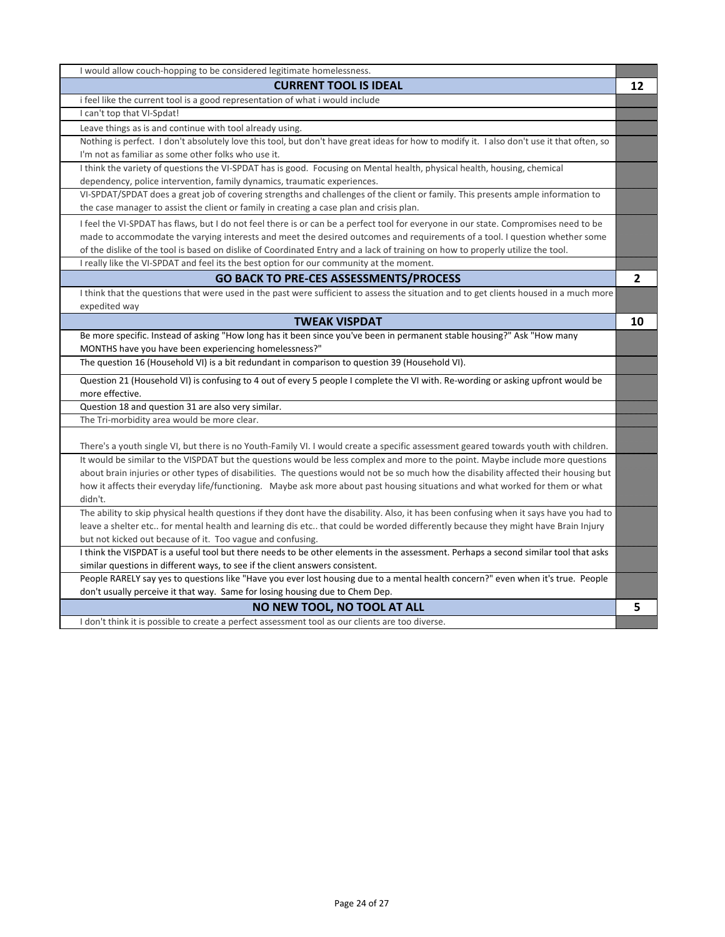| I would allow couch-hopping to be considered legitimate homelessness.                                                                                                                                             |    |
|-------------------------------------------------------------------------------------------------------------------------------------------------------------------------------------------------------------------|----|
| <b>CURRENT TOOL IS IDEAL</b>                                                                                                                                                                                      | 12 |
| i feel like the current tool is a good representation of what i would include                                                                                                                                     |    |
| I can't top that VI-Spdat!                                                                                                                                                                                        |    |
| Leave things as is and continue with tool already using.                                                                                                                                                          |    |
| Nothing is perfect. I don't absolutely love this tool, but don't have great ideas for how to modify it. I also don't use it that often, so                                                                        |    |
| I'm not as familiar as some other folks who use it.                                                                                                                                                               |    |
| I think the variety of questions the VI-SPDAT has is good. Focusing on Mental health, physical health, housing, chemical                                                                                          |    |
| dependency, police intervention, family dynamics, traumatic experiences.                                                                                                                                          |    |
| VI-SPDAT/SPDAT does a great job of covering strengths and challenges of the client or family. This presents ample information to                                                                                  |    |
| the case manager to assist the client or family in creating a case plan and crisis plan.                                                                                                                          |    |
| I feel the VI-SPDAT has flaws, but I do not feel there is or can be a perfect tool for everyone in our state. Compromises need to be                                                                              |    |
| made to accommodate the varying interests and meet the desired outcomes and requirements of a tool. I question whether some                                                                                       |    |
| of the dislike of the tool is based on dislike of Coordinated Entry and a lack of training on how to properly utilize the tool.                                                                                   |    |
| I really like the VI-SPDAT and feel its the best option for our community at the moment.                                                                                                                          |    |
| <b>GO BACK TO PRE-CES ASSESSMENTS/PROCESS</b>                                                                                                                                                                     | 2  |
| I think that the questions that were used in the past were sufficient to assess the situation and to get clients housed in a much more                                                                            |    |
| expedited way                                                                                                                                                                                                     |    |
| <b>TWEAK VISPDAT</b>                                                                                                                                                                                              | 10 |
| Be more specific. Instead of asking "How long has it been since you've been in permanent stable housing?" Ask "How many                                                                                           |    |
| MONTHS have you have been experiencing homelessness?"                                                                                                                                                             |    |
| The question 16 (Household VI) is a bit redundant in comparison to question 39 (Household VI).                                                                                                                    |    |
| Question 21 (Household VI) is confusing to 4 out of every 5 people I complete the VI with. Re-wording or asking upfront would be                                                                                  |    |
| more effective.                                                                                                                                                                                                   |    |
| Question 18 and question 31 are also very similar.                                                                                                                                                                |    |
| The Tri-morbidity area would be more clear.                                                                                                                                                                       |    |
|                                                                                                                                                                                                                   |    |
| There's a youth single VI, but there is no Youth-Family VI. I would create a specific assessment geared towards youth with children.                                                                              |    |
| It would be similar to the VISPDAT but the questions would be less complex and more to the point. Maybe include more questions                                                                                    |    |
| about brain injuries or other types of disabilities. The questions would not be so much how the disability affected their housing but                                                                             |    |
| how it affects their everyday life/functioning. Maybe ask more about past housing situations and what worked for them or what                                                                                     |    |
| didn't.                                                                                                                                                                                                           |    |
| The ability to skip physical health questions if they dont have the disability. Also, it has been confusing when it says have you had to                                                                          |    |
| leave a shelter etc for mental health and learning dis etc that could be worded differently because they might have Brain Injury                                                                                  |    |
| but not kicked out because of it. Too vague and confusing.                                                                                                                                                        |    |
| I think the VISPDAT is a useful tool but there needs to be other elements in the assessment. Perhaps a second similar tool that asks                                                                              |    |
| similar questions in different ways, to see if the client answers consistent.<br>People RARELY say yes to questions like "Have you ever lost housing due to a mental health concern?" even when it's true. People |    |
| don't usually perceive it that way. Same for losing housing due to Chem Dep.                                                                                                                                      |    |
| NO NEW TOOL, NO TOOL AT ALL                                                                                                                                                                                       | 5  |
| I don't think it is possible to create a perfect assessment tool as our clients are too diverse.                                                                                                                  |    |
|                                                                                                                                                                                                                   |    |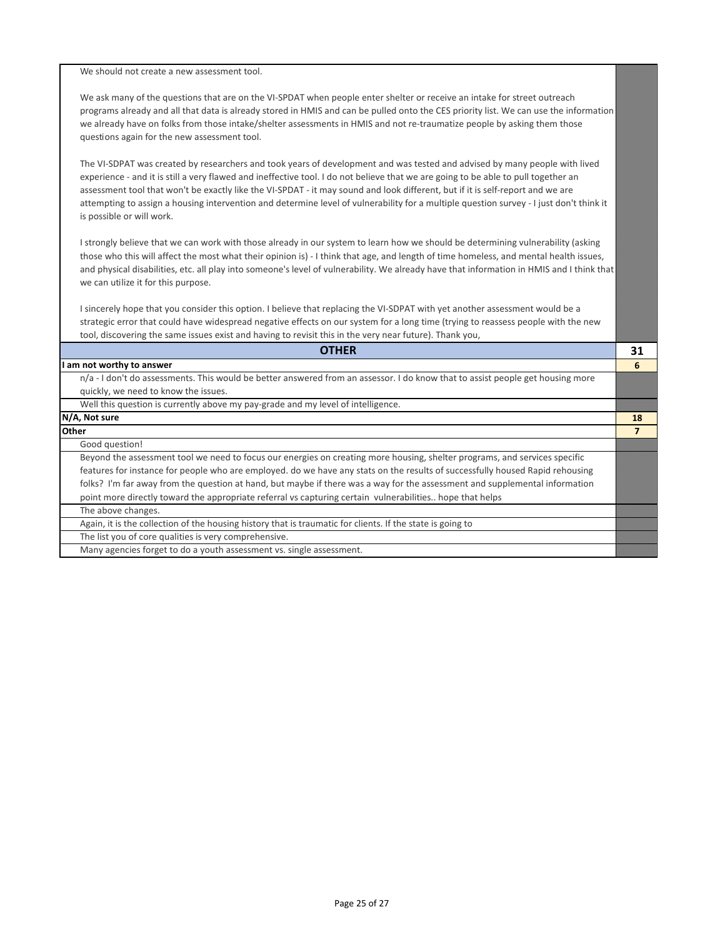We should not create a new assessment tool.

We ask many of the questions that are on the VI-SPDAT when people enter shelter or receive an intake for street outreach programs already and all that data is already stored in HMIS and can be pulled onto the CES priority list. We can use the information we already have on folks from those intake/shelter assessments in HMIS and not re-traumatize people by asking them those questions again for the new assessment tool.

The VI-SDPAT was created by researchers and took years of development and was tested and advised by many people with lived experience - and it is still a very flawed and ineffective tool. I do not believe that we are going to be able to pull together an assessment tool that won't be exactly like the VI-SPDAT - it may sound and look different, but if it is self-report and we are attempting to assign a housing intervention and determine level of vulnerability for a multiple question survey - I just don't think it is possible or will work.

I strongly believe that we can work with those already in our system to learn how we should be determining vulnerability (asking those who this will affect the most what their opinion is) - I think that age, and length of time homeless, and mental health issues, and physical disabilities, etc. all play into someone's level of vulnerability. We already have that information in HMIS and I think that we can utilize it for this purpose.

I sincerely hope that you consider this option. I believe that replacing the VI-SDPAT with yet another assessment would be a strategic error that could have widespread negative effects on our system for a long time (trying to reassess people with the new tool, discovering the same issues exist and having to revisit this in the very near future). Thank you,

| <b>OTHER</b>                                                                                                                   | 31 |
|--------------------------------------------------------------------------------------------------------------------------------|----|
| I am not worthy to answer                                                                                                      | h  |
| n/a - I don't do assessments. This would be better answered from an assessor. I do know that to assist people get housing more |    |
| quickly, we need to know the issues.                                                                                           |    |
| Well this question is currently above my pay-grade and my level of intelligence.                                               |    |
| N/A, Not sure                                                                                                                  | 18 |
| <b>Other</b>                                                                                                                   |    |
| Good question!                                                                                                                 |    |
| Beyond the assessment tool we need to focus our energies on creating more housing, shelter programs, and services specific     |    |
| features for instance for people who are employed. do we have any stats on the results of successfully housed Rapid rehousing  |    |
| folks? I'm far away from the question at hand, but maybe if there was a way for the assessment and supplemental information    |    |
| point more directly toward the appropriate referral vs capturing certain vulnerabilities hope that helps                       |    |
| The above changes.                                                                                                             |    |
| Again, it is the collection of the housing history that is traumatic for clients. If the state is going to                     |    |
| The list you of core qualities is very comprehensive.                                                                          |    |
| Many agencies forget to do a youth assessment vs. single assessment.                                                           |    |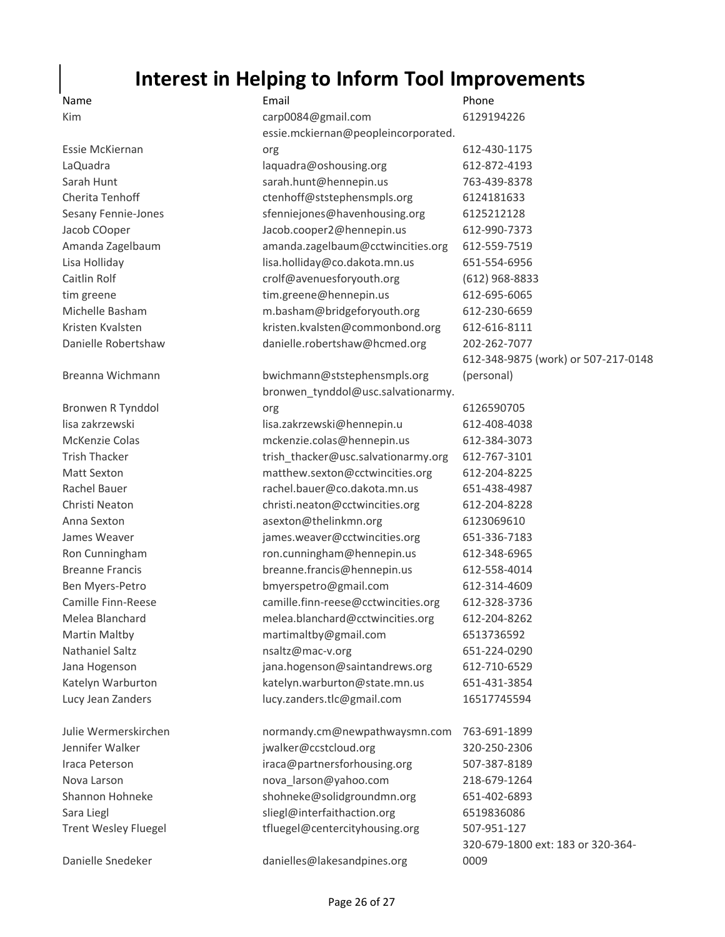## **Interest in Helping to Inform Tool Improvements**

## Name **Email Email Email Email Phone**

| Kim                         | carp0084@gmail.com                  | 6129194226                          |
|-----------------------------|-------------------------------------|-------------------------------------|
|                             | essie.mckiernan@peopleincorporated. |                                     |
| Essie McKiernan             | org                                 | 612-430-1175                        |
| LaQuadra                    | laquadra@oshousing.org              | 612-872-4193                        |
| Sarah Hunt                  | sarah.hunt@hennepin.us              | 763-439-8378                        |
| Cherita Tenhoff             | ctenhoff@ststephensmpls.org         | 6124181633                          |
| Sesany Fennie-Jones         | sfenniejones@havenhousing.org       | 6125212128                          |
| Jacob COoper                | Jacob.cooper2@hennepin.us           | 612-990-7373                        |
| Amanda Zagelbaum            | amanda.zagelbaum@cctwincities.org   | 612-559-7519                        |
| Lisa Holliday               | lisa.holliday@co.dakota.mn.us       | 651-554-6956                        |
| Caitlin Rolf                | crolf@avenuesforyouth.org           | $(612)$ 968-8833                    |
| tim greene                  | tim.greene@hennepin.us              | 612-695-6065                        |
| Michelle Basham             | m.basham@bridgeforyouth.org         | 612-230-6659                        |
| Kristen Kvalsten            | kristen.kvalsten@commonbond.org     | 612-616-8111                        |
| Danielle Robertshaw         | danielle.robertshaw@hcmed.org       | 202-262-7077                        |
|                             |                                     | 612-348-9875 (work) or 507-217-0148 |
| Breanna Wichmann            | bwichmann@ststephensmpls.org        | (personal)                          |
|                             | bronwen tynddol@usc.salvationarmy.  |                                     |
| Bronwen R Tynddol           | org                                 | 6126590705                          |
| lisa zakrzewski             | lisa.zakrzewski@hennepin.u          | 612-408-4038                        |
| McKenzie Colas              | mckenzie.colas@hennepin.us          | 612-384-3073                        |
| <b>Trish Thacker</b>        | trish_thacker@usc.salvationarmy.org | 612-767-3101                        |
| <b>Matt Sexton</b>          | matthew.sexton@cctwincities.org     | 612-204-8225                        |
| Rachel Bauer                | rachel.bauer@co.dakota.mn.us        | 651-438-4987                        |
| Christi Neaton              | christi.neaton@cctwincities.org     | 612-204-8228                        |
| Anna Sexton                 | asexton@thelinkmn.org               | 6123069610                          |
| James Weaver                | james.weaver@cctwincities.org       | 651-336-7183                        |
| Ron Cunningham              | ron.cunningham@hennepin.us          | 612-348-6965                        |
| <b>Breanne Francis</b>      | breanne.francis@hennepin.us         | 612-558-4014                        |
| Ben Myers-Petro             | bmyerspetro@gmail.com               | 612-314-4609                        |
| Camille Finn-Reese          | camille.finn-reese@cctwincities.org | 612-328-3736                        |
| Melea Blanchard             | melea.blanchard@cctwincities.org    | 612-204-8262                        |
| <b>Martin Maltby</b>        | martimaltby@gmail.com               | 6513736592                          |
| Nathaniel Saltz             | nsaltz@mac-v.org                    | 651-224-0290                        |
| Jana Hogenson               | jana.hogenson@saintandrews.org      | 612-710-6529                        |
| Katelyn Warburton           | katelyn.warburton@state.mn.us       | 651-431-3854                        |
| Lucy Jean Zanders           | lucy.zanders.tlc@gmail.com          | 16517745594                         |
| Julie Wermerskirchen        | normandy.cm@newpathwaysmn.com       | 763-691-1899                        |
| Jennifer Walker             | jwalker@ccstcloud.org               | 320-250-2306                        |
| Iraca Peterson              | iraca@partnersforhousing.org        | 507-387-8189                        |
| Nova Larson                 | nova_larson@yahoo.com               | 218-679-1264                        |
| Shannon Hohneke             | shohneke@solidgroundmn.org          | 651-402-6893                        |
| Sara Liegl                  | sliegl@interfaithaction.org         | 6519836086                          |
| <b>Trent Wesley Fluegel</b> | tfluegel@centercityhousing.org      | 507-951-127                         |
|                             |                                     | 320-679-1800 ext: 183 or 320-364-   |
| Danielle Snedeker           | danielles@lakesandpines.org         | 0009                                |

Danielle Snedeker danielles@lakesandpines.org